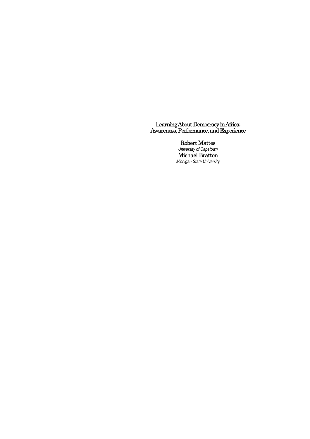## Learning About Democracy in Africa: Awareness, Performance, and Experience

Robert Mattes *University of Capetown* 

Michael Bratton *Michigan State University*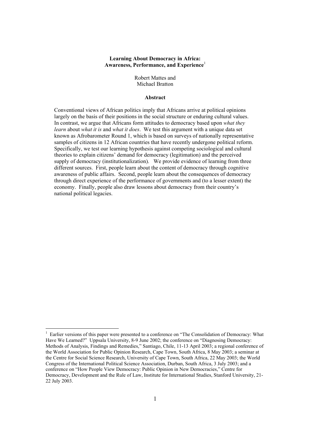## **Learning About Democracy in Africa: Awareness, Performance, and Experience**<sup>1</sup>

Robert Mattes and Michael Bratton

### **Abstract**

Conventional views of African politics imply that Africans arrive at political opinions largely on the basis of their positions in the social structure or enduring cultural values. In contrast, we argue that Africans form attitudes to democracy based upon *what they learn* about *what it is* and *what it does*. We test this argument with a unique data set known as Afrobarometer Round 1, which is based on surveys of nationally representative samples of citizens in 12 African countries that have recently undergone political reform. Specifically, we test our learning hypothesis against competing sociological and cultural theories to explain citizens' demand for democracy (legitimation) and the perceived supply of democracy (institutionalization). We provide evidence of learning from three different sources. First, people learn about the content of democracy through cognitive awareness of public affairs. Second, people learn about the consequences of democracy through direct experience of the performance of governments and (to a lesser extent) the economy. Finally, people also draw lessons about democracy from their country's national political legacies.

<sup>1</sup> Earlier versions of this paper were presented to a conference on "The Consolidation of Democracy: What Have We Learned?" Uppsala University, 8-9 June 2002; the conference on "Diagnosing Democracy: Methods of Analysis, Findings and Remedies," Santiago, Chile, 11-13 April 2003; a regional conference of the World Association for Public Opinion Research, Cape Town, South Africa, 8 May 2003; a seminar at the Centre for Social Science Research, University of Cape Town, South Africa, 22 May 2003; the World Congress of the International Political Science Association, Durban, South Africa, 3 July 2003; and a conference on "How People View Democracy: Public Opinion in New Democracies," Centre for Democracy, Development and the Rule of Law, Institute for International Studies, Stanford University, 21- 22 July 2003.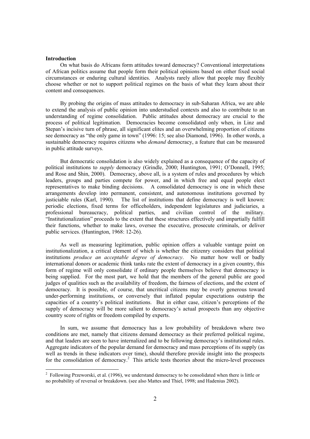#### **Introduction**

On what basis do Africans form attitudes toward democracy? Conventional interpretations of African politics assume that people form their political opinions based on either fixed social circumstances or enduring cultural identities. Analysts rarely allow that people may flexibly choose whether or not to support political regimes on the basis of what they learn about their content and consequences.

By probing the origins of mass attitudes to democracy in sub-Saharan Africa, we are able to extend the analysis of public opinion into understudied contexts and also to contribute to an understanding of regime consolidation. Public attitudes about democracy are crucial to the process of political legitimation. Democracies become consolidated only when, in Linz and Stepan's incisive turn of phrase, all significant elites and an overwhelming proportion of citizens see democracy as "the only game in town" (1996: 15; see also Diamond, 1996). In other words, a sustainable democracy requires citizens who *demand* democracy, a feature that can be measured in public attitude surveys.

But democratic consolidation is also widely explained as a consequence of the capacity of political institutions to *supply* democracy (Grindle, 2000; Huntington, 1991; O'Donnell, 1995; and Rose and Shin, 2000). Democracy, above all, is a system of rules and procedures by which leaders, groups and parties compete for power, and in which free and equal people elect representatives to make binding decisions. A consolidated democracy is one in which these arrangements develop into permanent, consistent, and autonomous institutions governed by justiciable rules (Karl, 1990). The list of institutions that define democracy is well known: periodic elections, fixed terms for officeholders, independent legislatures and judiciaries, a professional bureaucracy, political parties, and civilian control of the military. "Institutionalization" proceeds to the extent that these structures effectively and impartially fulfill their functions, whether to make laws, oversee the executive, prosecute criminals, or deliver public services. (Huntington, 1968: 12-26).

As well as measuring legitimation, public opinion offers a valuable vantage point on institutionalization, a critical element of which is whether the citizenry considers that political institutions *produce an acceptable degree of democracy*. No matter how well or badly international donors or academic think tanks rate the extent of democracy in a given country, this form of regime will only consolidate if ordinary people themselves believe that democracy is being supplied. For the most part, we hold that the members of the general public are good judges of qualities such as the availability of freedom, the fairness of elections, and the extent of democracy. It is possible, of course, that uncritical citizens may be overly generous toward under-performing institutions, or conversely that inflated popular expectations outstrip the capacities of a country's political institutions. But in either case, citizen's perceptions of the supply of democracy will be more salient to democracy's actual prospects than any objective country score of rights or freedom compiled by experts.

In sum, we assume that democracy has a low probability of breakdown where two conditions are met, namely that citizens demand democracy as their preferred political regime, and that leaders are seen to have internalized and to be following democracy's institutional rules. Aggregate indicators of the popular demand for democracy and mass perceptions of its supply (as well as trends in these indicators over time), should therefore provide insight into the prospects for the consolidation of democracy.<sup>2</sup> This article tests theories about the micro-level processes

<sup>&</sup>lt;sup>2</sup> Following Przeworski, et al. (1996), we understand democracy to be consolidated when there is little or no probability of reversal or breakdown. (see also Mattes and Thiel, 1998; and Hadenius 2002).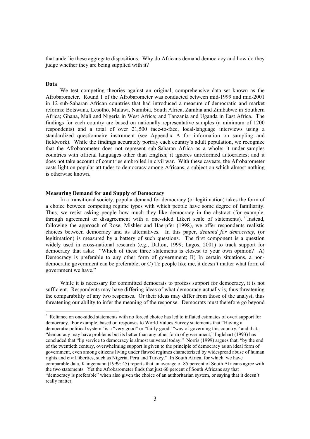that underlie these aggregate dispositions. Why do Africans demand democracy and how do they judge whether they are being supplied with it?

#### **Data**

 $\overline{a}$ 

We test competing theories against an original, comprehensive data set known as the Afrobarometer. Round 1 of the Afrobarometer was conducted between mid-1999 and mid-2001 in 12 sub-Saharan African countries that had introduced a measure of democratic and market reforms: Botswana, Lesotho, Malawi, Namibia, South Africa, Zambia and Zimbabwe in Southern Africa; Ghana, Mali and Nigeria in West Africa; and Tanzania and Uganda in East Africa. The findings for each country are based on nationally representative samples (a minimum of 1200 respondents) and a total of over 21,500 face-to-face, local-language interviews using a standardized questionnaire instrument (see Appendix A for information on sampling and fieldwork). While the findings accurately portray each country's adult population, we recognize that the Afrobarometer does not represent sub-Saharan Africa as a whole: it under-samples countries with official languages other than English; it ignores unreformed autocracies; and it does not take account of countries embroiled in civil war. With these caveats, the Afrobarometer casts light on popular attitudes to democracy among Africans, a subject on which almost nothing is otherwise known.

### **Measuring Demand for and Supply of Democracy**

In a transitional society, popular demand for democracy (or legitimation) takes the form of a choice between competing regime types with which people have some degree of familiarity. Thus, we resist asking people how much they like democracy in the abstract (for example, through agreement or disagreement with a one-sided Likert scale of statements). 3 Instead, following the approach of Rose, Mishler and Haerpfer (1998), we offer respondents realistic choices between democracy and its alternatives. In this paper, *demand for democracy*, (or legitimation) is measured by a battery of such questions. The first component is a question widely used in cross-national research (e.g., Dalton, 1999; Lagos, 2001) to track support for democracy that asks: "Which of these three statements is closest to your own opinion? A) Democracy is preferable to any other form of government; B) In certain situations, a nondemocratic government can be preferable; or C) To people like me, it doesn't matter what form of government we have."

While it is necessary for committed democrats to profess support for democracy, it is not sufficient. Respondents may have differing ideas of what democracy actually is, thus threatening the comparability of any two responses. Or their ideas may differ from those of the analyst, thus threatening our ability to infer the meaning of the response. Democrats must therefore go beyond

<sup>&</sup>lt;sup>3</sup> Reliance on one-sided statements with no forced choice has led to inflated estimates of overt support for democracy. For example, based on responses to World Values Survey statements that "Having a democratic political system" is a "very good" or "fairly good" "way of governing this country," and that, "democracy may have problems but its better than any other form of government," Inglehart (1993) has concluded that "lip service to democracy is almost universal today." Norris (1999) argues that, "by the end of the twentieth century, overwhelming support is given to the principle of democracy as an ideal form of government, even among citizens living under flawed regimes characterized by widespread abuse of human rights and civil liberties, such as Nigeria, Peru and Turkey." In South Africa, for which we have comparable data, Klingemann (1999: 45) reports that an average of 85 percent of South Africans agree with the two statements. Yet the Afrobarometer finds that just 60 percent of South Africans say that "democracy is preferable" when also given the choice of an authoritarian system, or saying that it doesn't really matter.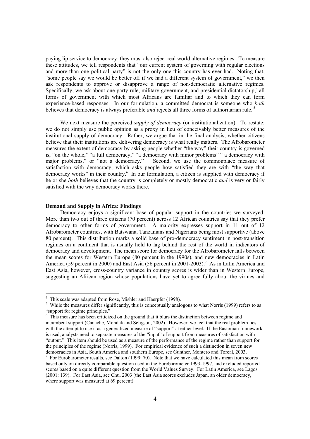paying lip service to democracy; they must also reject real world alternative regimes. To measure these attitudes, we tell respondents that "our current system of governing with regular elections and more than one political party" is not the only one this country has ever had. Noting that, "some people say we would be better off if we had a different system of government," we then ask respondents to approve or disapprove a range of non-democratic alternative regimes. Specifically, we ask about one-party rule, military government, and presidential dictatorship,<sup>4</sup> all forms of government with which most Africans are familiar and to which they can form experience-based responses. In our formulation, a committed democrat is someone who *both* believes that democracy is always preferable *and* rejects all three forms of authoritarian rule. 5

We next measure the perceived *supply of democracy* (or institutionalization). To restate: we do not simply use public opinion as a proxy in lieu of conceivably better measures of the institutional supply of democracy. Rather, we argue that in the final analysis, whether citizens believe that their institutions are delivering democracy is what really matters. The Afrobarometer measures the extent of democracy by asking people whether "the way" their country is governed is, "on the whole," "a full democracy," "a democracy with minor problems" " a democracy with major problems," or "not a democracy." Second, we use the commonplace measure of satisfaction with democracy, which asks people how satisfied they are with "the way that democracy works" in their country.<sup>6</sup> In our formulation, a citizen is supplied with democracy if he or she *both* believes that the country is completely or mostly democratic *and* is very or fairly satisfied with the way democracy works there.

### **Demand and Supply in Africa: Findings**

Democracy enjoys a significant base of popular support in the countries we surveyed. More than two out of three citizens (70 percent) across 12 African countries say that they prefer democracy to other forms of government. A majority expresses support in 11 out of 12 Afrobarometer countries, with Batswana, Tanzanians and Nigerians being most supportive (above 80 percent). This distribution marks a solid base of pro-democracy sentiment in post-transition regimes on a continent that is usually held to lag behind the rest of the world in indicators of democracy and development. The mean score for democracy for the Afrobarometer falls between the mean scores for Western Europe (80 percent in the 1990s), and new democracies in Latin America (59 percent in 2000) and East Asia (56 percent in 2001-2003).<sup>7</sup> As in Latin America and East Asia, however, cross-country variance in country scores is wider than in Western Europe, suggesting an African region whose populations have yet to agree fully about the virtues and

<sup>&</sup>lt;sup>4</sup> This scale was adapted from Rose, Mishler and Haerpfer (1998).

<sup>&</sup>lt;sup>5</sup> While the measures differ significantly, this is conceptually analogous to what Norris (1999) refers to as "support for regime principles."

<sup>&</sup>lt;sup>6</sup> This measure has been criticized on the ground that it blurs the distinction between regime and incumbent support (Canache, Mondak and Seligson, 2002). However, we feel that the real problem lies with the attempt to use it as a generalized measure of "support" at either level. If the Eastonian framework is used, analysts need to separate measures of the "input" of support from measures of satisfaction with "output." This item should be used as a measure of the performance of the regime rather than support for the principles of the regime (Norris, 1999). For empirical evidence of such a distinction in seven new democracies in Asia, South America and southern Europe, see Gunther, Montero and Torcal, 2003.

 $\frac{7}{1}$  For Eurobarometer results, see Dalton (1999: 70). Note that we have calculated this mean from scores based only on directly comparable question used in the Eurobarometer 1993-1997, and excluded reported scores based on a quite different question from the World Values Survey. For Latin America, see Lagos (2001: 139). For East Asia, see Chu, 2003 (the East Asia scores excludes Japan, an older democracy, where support was measured at 69 percent).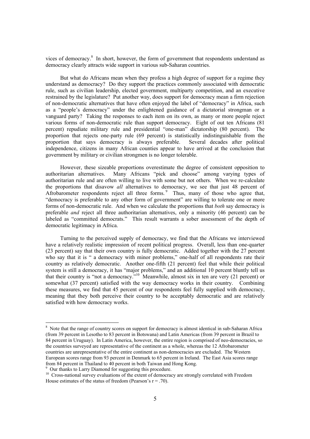vices of democracy.<sup>8</sup> In short, however, the form of government that respondents understand as democracy clearly attracts wide support in various sub-Saharan countries.

But what do Africans mean when they profess a high degree of support for a regime they understand as democracy? Do they support the practices commonly associated with democratic rule, such as civilian leadership, elected government, multiparty competition, and an executive restrained by the legislature? Put another way, does support for democracy mean a firm rejection of non-democratic alternatives that have often enjoyed the label of "democracy" in Africa, such as a "people's democracy" under the enlightened guidance of a dictatorial strongman or a vanguard party? Taking the responses to each item on its own, as many or more people reject various forms of non-democratic rule than support democracy. Eight of out ten Africans (81 percent) repudiate military rule and presidential "one-man" dictatorship (80 percent). The proportion that rejects one-party rule (69 percent) is statistically indistinguishable from the proportion that says democracy is always preferable. Several decades after political independence, citizens in many African counties appear to have arrived at the conclusion that government by military or civilian strongmen is no longer tolerable.

However, these sizeable proportions overestimate the degree of consistent opposition to authoritarian alternatives. Many Africans "pick and choose" among varying types of authoritarian rule and are often willing to live with some but not others. When we re-calculate the proportions that disavow *all* alternatives to democracy, we see that just 48 percent of Afrobarometer respondents reject all three forms.<sup>9</sup> Thus, many of those who agree that, "democracy is preferable to any other form of government" are willing to tolerate one or more forms of non-democratic rule. And when we calculate the proportions that *both* say democracy is preferable *and* reject all three authoritarian alternatives, only a minority (46 percent) can be labeled as "committed democrats." This result warrants a sober assessment of the depth of democratic legitimacy in Africa.

Turning to the perceived supply of democracy, we find that the Africans we interviewed have a relatively realistic impression of recent political progress. Overall, less than one-quarter (23 percent) say that their own country is fully democratic. Added together with the 27 percent who say that it is " a democracy with minor problems," one-half of all respondents rate their country as relatively democratic. Another one-fifth (21 percent) feel that while their political system is still a democracy, it has "major problems," and an additional 10 percent bluntly tell us that their country is "not a democracy."10 Meanwhile, almost six in ten are very (21 percent) or somewhat (37 percent) satisfied with the way democracy works in their country. Combining these measures, we find that 45 percent of our respondents feel fully supplied with democracy, meaning that they both perceive their country to be acceptably democratic and are relatively satisfied with how democracy works.

<sup>&</sup>lt;sup>8</sup> Note that the range of country scores on support for democracy is almost identical in sub-Saharan Africa (from 39 percent in Lesotho to 83 percent in Botswana) and Latin Americas (from 39 percent in Brazil to 84 percent in Uruguay). In Latin America, however, the entire region is comprised of neo-democracies, so the countries surveyed are representative of the continent as a whole, whereas the 12 Afrobarometer countries are unrepresentative of the entire continent as non-democracies are excluded. The Western European scores range from 93 percent in Denmark to 65 percent in Ireland. The East Asia scores range from 84 percent in Thailand to 40 percent in both Taiwan and Hong Kong.<br><sup>9</sup> Our thanks to Larry Diamond for suggesting this procedure.

 $\frac{10}{10}$  Cross-national survey evaluations of the extent of democracy are strongly correlated with Freedom House estimates of the status of freedom (Pearson's  $r = .70$ ).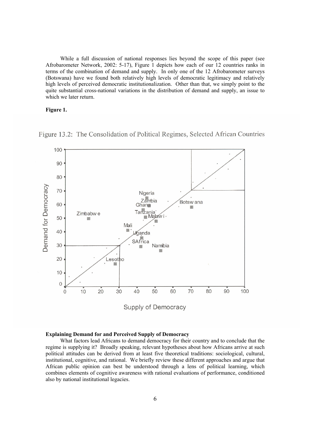While a full discussion of national responses lies beyond the scope of this paper (see Afrobarometer Network, 2002: 5-17), Figure 1 depicts how each of our 12 countries ranks in terms of the combination of demand and supply. In only one of the 12 Afrobarometer surveys (Botswana) have we found both relatively high levels of democratic legitimacy and relatively high levels of perceived democratic institutionalization. Other than that, we simply point to the quite substantial cross-national variations in the distribution of demand and supply, an issue to which we later return.

## **Figure 1.**



Figure 13.2: The Consolidation of Political Regimes, Selected African Countries

## **Explaining Demand for and Perceived Supply of Democracy**

What factors lead Africans to demand democracy for their country and to conclude that the regime is supplying it? Broadly speaking, relevant hypotheses about how Africans arrive at such political attitudes can be derived from at least five theoretical traditions: sociological, cultural, institutional, cognitive, and rational. We briefly review these different approaches and argue that African public opinion can best be understood through a lens of political learning, which combines elements of cognitive awareness with rational evaluations of performance, conditioned also by national institutional legacies.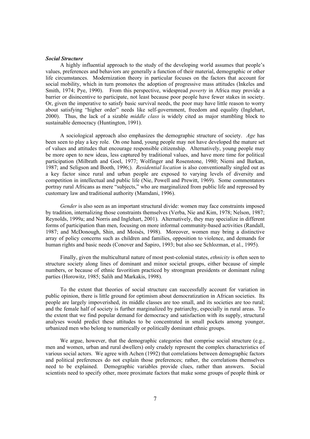#### *Social Structure*

A highly influential approach to the study of the developing world assumes that people's values, preferences and behaviors are generally a function of their material, demographic or other life circumstances. Modernization theory in particular focuses on the factors that account for social mobility, which in turn promotes the adoption of progressive mass attitudes (Inkeles and Smith, 1974; Pye, 1990). From this perspective, widespread *poverty* in Africa may provide a barrier or disincentive to participate, not least because poor people have fewer stakes in society. Or, given the imperative to satisfy basic survival needs, the poor may have little reason to worry about satisfying "higher order" needs like self-government, freedom and equality (Inglehart, 2000). Thus, the lack of a sizable *middle class* is widely cited as major stumbling block to sustainable democracy (Huntington, 1991).

A sociological approach also emphasizes the demographic structure of society. *Age* has been seen to play a key role. On one hand, young people may not have developed the mature set of values and attitudes that encourage responsible citizenship. Alternatively, young people may be more open to new ideas, less captured by traditional values, and have more time for political participation (Milbrath and Goel, 1977; Wolfinger and Rosenstone, 1980; Niemi and Barkan, 1987; and Seligson and Booth, 1996;). *Residential location* is also conventionally singled out as a key factor since rural and urban people are exposed to varying levels of diversity and competition in intellectual and public life (Nie, Powell and Prewitt, 1969). Some commentators portray rural Africans as mere "subjects," who are marginalized from public life and repressed by customary law and traditional authority (Mamdani, 1996).

*Gender* is also seen as an important structural divide: women may face constraints imposed by tradition, internalizing those constraints themselves (Verba, Nie and Kim, 1978; Nelson, 1987; Reynolds, 1999a; and Norris and Inglehart, 2001). Alternatively, they may specialize in different forms of participation than men, focusing on more informal community-based activities (Randall, 1987; and McDonough, Shin, and Moisés, 1998). Moreover, women may bring a distinctive array of policy concerns such as children and families, opposition to violence, and demands for human rights and basic needs (Conover and Sapiro, 1993; but also see Schlozman, et al., 1995).

Finally, given the multicultural nature of most post-colonial states, *ethnicity* is often seen to structure society along lines of dominant and minor societal groups, either because of simple numbers, or because of ethnic favoritism practiced by strongman presidents or dominant ruling parties (Horowitz, 1985; Salih and Markakis, 1998).

To the extent that theories of social structure can successfully account for variation in public opinion, there is little ground for optimism about democratization in African societies. Its people are largely impoverished, its middle classes are too small, and its societies are too rural; and the female half of society is further marginalized by patriarchy, especially in rural areas. To the extent that we find popular demand for democracy and satisfaction with its supply, structural analyses would predict these attitudes to be concentrated in small pockets among younger, urbanized men who belong to numerically or politically dominant ethnic groups.

We argue, however, that the demographic categories that comprise social structure (e.g., men and women, urban and rural dwellers) only crudely represent the complex characteristics of various social actors. We agree with Achen (1992) that correlations between demographic factors and political preferences do not explain those preferences; rather, the correlations themselves need to be explained. Demographic variables provide clues, rather than answers. Social scientists need to specify other, more proximate factors that make some groups of people think or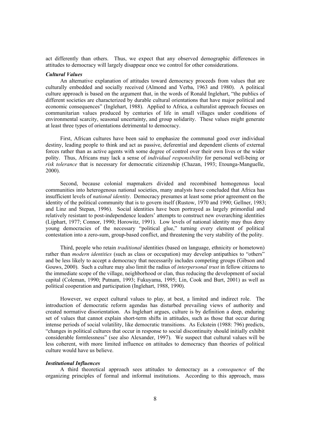act differently than others. Thus, we expect that any observed demographic differences in attitudes to democracy will largely disappear once we control for other considerations.

### *Cultural Values*

An alternative explanation of attitudes toward democracy proceeds from values that are culturally embedded and socially received (Almond and Verba, 1963 and 1980). A political culture approach is based on the argument that, in the words of Ronald Inglehart, "the publics of different societies are characterized by durable cultural orientations that have major political and economic consequences" (Inglehart, 1988). Applied to Africa, a culturalist approach focuses on communitarian values produced by centuries of life in small villages under conditions of environmental scarcity, seasonal uncertainty, and group solidarity. These values might generate at least three types of orientations detrimental to democracy.

First, African cultures have been said to emphasize the communal good over individual destiny, leading people to think and act as passive, deferential and dependent clients of external forces rather than as active agents with some degree of control over their own lives or the wider polity. Thus, Africans may lack a sense of *individual responsibility* for personal well-being or *risk tolerance* that is necessary for democratic citizenship (Chazan, 1993; Etounga-Manguelle, 2000).

Second, because colonial mapmakers divided and recombined homogenous local communities into heterogenous national societies, many analysts have concluded that Africa has insufficient levels of *national identity*. Democracy presumes at least some prior agreement on the identity of the political community that is to govern itself (Rustow, 1970 and 1990; Gellner, 1983; and Linz and Stepan, 1996). Social identities have been portrayed as largely primordial and relatively resistant to post-independence leaders' attempts to construct new overarching identities (Lijphart, 1977; Connor, 1990; Horowitz, 1991). Low levels of national identity may thus deny young democracies of the necessary "political glue," turning every element of political contestation into a zero-sum, group-based conflict, and threatening the very stability of the polity.

Third, people who retain *traditional* identities (based on language, ethnicity or hometown) rather than *modern identities* (such as class or occupation) may develop antipathies to "others" and be less likely to accept a democracy that necessarily includes competing groups (Gibson and Gouws, 2000). Such a culture may also limit the radius of *interpersonal trust* in fellow citizens to the immediate scope of the village, neighborhood or clan, thus reducing the development of social capital (Coleman, 1990; Putnam, 1993; Fukuyama, 1995; Lin, Cook and Burt, 2001) as well as political cooperation and participation (Inglehart, 1988, 1990).

However, we expect cultural values to play, at best, a limited and indirect role. The introduction of democratic reform agendas has disturbed prevailing views of authority and created normative disorientation. As Inglehart argues, culture is by definition a deep, enduring set of values that cannot explain short-term shifts in attitudes, such as those that occur during intense periods of social volatility, like democratic transitions. As Eckstein (1988: 796) predicts, "changes in political cultures that occur in response to social discontinuity should initially exhibit considerable formlessness" (see also Alexander, 1997). We suspect that cultural values will be less coherent, with more limited influence on attitudes to democracy than theories of political culture would have us believe.

## *Institutional Influences*

A third theoretical approach sees attitudes to democracy as a *consequence* of the organizing principles of formal and informal institutions. According to this approach, mass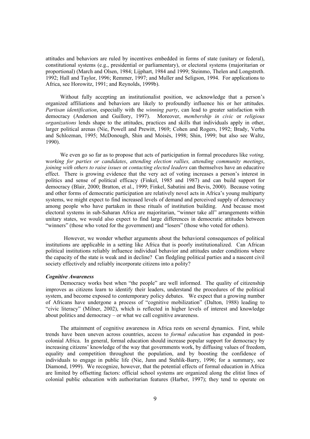attitudes and behaviors are ruled by incentives embedded in forms of state (unitary or federal), constitutional systems (e.g., presidential or parliamentary), or electoral systems (majoritarian or proportional) (March and Olsen, 1984; Lijphart, 1984 and 1999; Steinmo, Thelen and Longstreth. 1992; Hall and Taylor, 1996; Remmer, 1997; and Muller and Seligson, 1994. For applications to Africa, see Horowitz, 1991; and Reynolds, 1999b).

Without fully accepting an institutionalist position, we acknowledge that a person's organized affiliations and behaviors are likely to profoundly influence his or her attitudes. *Partisan identification*, especially with the *winning party*, can lead to greater satisfaction with democracy (Anderson and Guillory, 1997). Moreover, *membership in civic* or *religious organizations* lends shape to the attitudes, practices and skills that individuals apply in other, larger political arenas (Nie, Powell and Prewitt, 1969; Cohen and Rogers, 1992; Brady, Verba and Schlozman, 1995; McDonough, Shin and Moisés, 1998; Shin, 1999; but also see Waltz, 1990).

We even go so far as to propose that acts of participation in formal procedures like *voting,* w*orking for parties or candidates*, *attending election rallies, attending community meetings*, *joining with others to raise issues* or *contacting elected leaders* can themselves have an educative effect. There is growing evidence that the very act of voting increases a person's interest in politics and sense of political efficacy (Finkel, 1985 and 1987) and can build support for democracy (Blair, 2000; Bratton, et al., 1999; Finkel, Sabatini and Bevis, 2000). Because voting and other forms of democratic participation are relatively novel acts in Africa's young multiparty systems, we might expect to find increased levels of demand and perceived supply of democracy among people who have partaken in these rituals of institution building. And because most electoral systems in sub-Saharan Africa are majoritarian, "winner take all" arrangements within unitary states, we would also expect to find large differences in democratic attitudes between "winners" (those who voted for the government) and "losers" (those who voted for others).

 However, we wonder whether arguments about the behavioral consequences of political institutions are applicable in a setting like Africa that is poorly institutionalized. Can African political institutions reliably influence individual behavior and attitudes under conditions where the capacity of the state is weak and in decline? Can fledgling political parties and a nascent civil society effectively and reliably incorporate citizens into a polity?

### *Cognitive Awareness*

Democracy works best when "the people" are well informed. The quality of citizenship improves as citizens learn to identify their leaders, understand the procedures of the political system, and become exposed to contemporary policy debates. We expect that a growing number of Africans have undergone a process of "cognitive mobilization" (Dalton, 1988) leading to "civic literacy" (Milner, 2002), which is reflected in higher levels of interest and knowledge about politics and democracy – or what we call cognitive awareness.

The attainment of cognitive awareness in Africa rests on several dynamics. First, while trends have been uneven across countries, access to *formal education* has expanded in postcolonial Africa. In general, formal education should increase popular support for democracy by increasing citizens' knowledge of the way that governments work, by diffusing values of freedom, equality and competition throughout the population, and by boosting the confidence of individuals to engage in public life (Nie, Junn and Stehlik-Barry, 1996; for a summary, see Diamond, 1999). We recognize, however, that the potential effects of formal education in Africa are limited by offsetting factors: official school systems are organized along the elitist lines of colonial public education with authoritarian features (Harber, 1997); they tend to operate on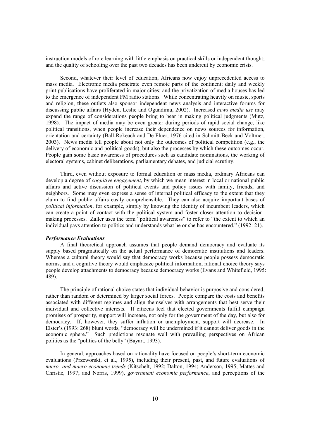instruction models of rote learning with little emphasis on practical skills or independent thought; and the quality of schooling over the past two decades has been undercut by economic crisis.

Second, whatever their level of education, Africans now enjoy unprecedented access to mass media. Electronic media penetrate even remote parts of the continent; daily and weekly print publications have proliferated in major cities; and the privatization of media houses has led to the emergence of independent FM radio stations. While concentrating heavily on music, sports and religion, these outlets also sponsor independent news analysis and interactive forums for discussing public affairs (Hyden, Leslie and Ogundimu, 2002). Increased *news media use* may expand the range of considerations people bring to bear in making political judgments (Mutz, 1998). The impact of media may be even greater during periods of rapid social change, like political transitions, when people increase their dependence on news sources for information, orientation and certainty (Ball-Rokeach and De Fluer, 1976 cited in Schmitt-Beck and Voltmer, 2003). News media tell people about not only the outcomes of political competition (e.g., the delivery of economic and political goods), but also the processes by which these outcomes occur. People gain some basic awareness of procedures such as candidate nominations, the working of electoral systems, cabinet deliberations, parliamentary debates, and judicial scrutiny.

Third, even without exposure to formal education or mass media, ordinary Africans can develop a degree of *cognitive engagement*, by which we mean interest in local or national public affairs and active discussion of political events and policy issues with family, friends, and neighbors. Some may even express a sense of internal political efficacy to the extent that they claim to find public affairs easily comprehensible. They can also acquire important bases of *political information*, for example, simply by knowing the identity of incumbent leaders, which can create a point of contact with the political system and foster closer attention to decisionmaking processes. Zaller uses the term "political awareness" to refer to "the extent to which an individual pays attention to politics and understands what he or she has encountered." (1992: 21).

### *Performance Evaluations*

A final theoretical approach assumes that people demand democracy and evaluate its supply based pragmatically on the actual performance of democratic institutions and leaders. Whereas a cultural theory would say that democracy works because people possess democratic norms, and a cognitive theory would emphasize political information, rational choice theory says people develop attachments to democracy because democracy works (Evans and Whitefield, 1995: 489).

The principle of rational choice states that individual behavior is purposive and considered, rather than random or determined by larger social forces. People compare the costs and benefits associated with different regimes and align themselves with arrangements that best serve their individual and collective interests. If citizens feel that elected governments fulfill campaign promises of prosperity, support will increase, not only for the government of the day, but also for democracy. If, however, they suffer inflation or unemployment, support will decrease. In Elster's (1993: 268) blunt words, "democracy will be undermined if it cannot deliver goods in the economic sphere." Such predictions resonate well with prevailing perspectives on African politics as the "politics of the belly" (Bayart, 1993).

In general, approaches based on rationality have focused on people's short-term economic evaluations (Przeworski, et al., 1995), including their present, past, and future evaluations of *micro- and macro-economic trends* (Kitschelt, 1992; Dalton, 1994; Anderson, 1995; Mattes and Christie, 1997; and Norris, 1999), g*overnment economic performance*, and perceptions of the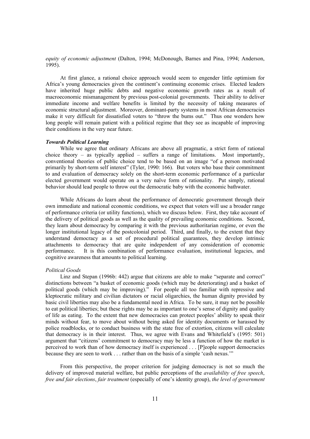*equity of economic adjustment* (Dalton, 1994; McDonough, Barnes and Pina, 1994; Anderson, 1995).

At first glance, a rational choice approach would seem to engender little optimism for Africa's young democracies given the continent's continuing economic crises. Elected leaders have inherited huge public debts and negative economic growth rates as a result of macroeconomic mismanagement by previous post-colonial governments. Their ability to deliver immediate income and welfare benefits is limited by the necessity of taking measures of economic structural adjustment. Moreover, dominant-party systems in most African democracies make it very difficult for dissatisfied voters to "throw the bums out." Thus one wonders how long people will remain patient with a political regime that they see as incapable of improving their conditions in the very near future.

### *Towards Political Learning*

While we agree that ordinary Africans are above all pragmatic, a strict form of rational choice theory – as typically applied – suffers a range of limitations. Most importantly, conventional theories of public choice tend to be based on an image "of a person motivated primarily by short-term self interest" (Tyler, 1990: 166). But voters who base their commitment to and evaluation of democracy solely on the short-term economic performance of a particular elected government would operate on a very naïve form of rationality. Put simply, rational behavior should lead people to throw out the democratic baby with the economic bathwater.

While Africans do learn about the performance of democratic government through their own immediate and national economic conditions, we expect that voters will use a broader range of performance criteria (or utility functions), which we discuss below. First, they take account of the delivery of political goods as well as the quality of prevailing economic conditions. Second, they learn about democracy by comparing it with the previous authoritarian regime, or even the longer institutional legacy of the postcolonial period. Third, and finally, to the extent that they understand democracy as a set of procedural political guarantees, they develop intrinsic attachments to democracy that are quite independent of any consideration of economic performance. It is this combination of performance evaluation, institutional legacies, and cognitive awareness that amounts to political learning.

#### *Political Goods*

Linz and Stepan (1996b: 442) argue that citizens are able to make "separate and correct" distinctions between "a basket of economic goods (which may be deteriorating) and a basket of political goods (which may be improving)." For people all too familiar with repressive and kleptocratic military and civilian dictators or racial oligarchies, the human dignity provided by basic civil liberties may also be a fundamental need in Africa. To be sure, it may not be possible to eat political liberties; but these rights may be as important to one's sense of dignity and quality of life as eating. To the extent that new democracies can protect peoples' ability to speak their minds without fear, to move about without being asked for identity documents or harassed by police roadblocks, or to conduct business with the state free of extortion, citizens will calculate that democracy is in their interest. Thus, we agree with Evans and Whitefield's (1995: 501) argument that "citizens' commitment to democracy may be less a function of how the market is perceived to work than of how democracy itself is experienced . . . [P]eople support democracies because they are seen to work . . . rather than on the basis of a simple 'cash nexus.'"

From this perspective, the proper criterion for judging democracy is not so much the delivery of improved material welfare, but public perceptions of the *availability of free speech*, *free and fair elections*, *fair treatment* (especially of one's identity group), *the level of government*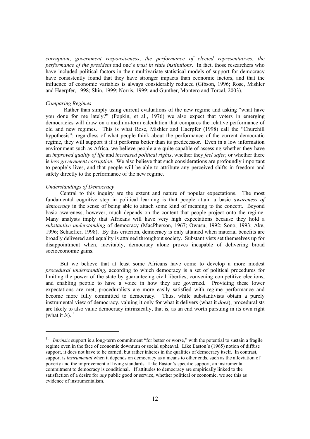*corruption*, *government responsiveness*, *the performance of elected representatives*, *the performance of the president* and one's *trust in state institutions*. In fact, those researchers who have included political factors in their multivariate statistical models of support for democracy have consistently found that they have stronger impacts than economic factors, and that the influence of economic variables is always considerably reduced (Gibson, 1996; Rose, Mishler and Haerpfer, 1998; Shin, 1999; Norris, 1999; and Gunther, Montero and Torcal, 2003).

#### *Comparing Regimes*

Rather than simply using current evaluations of the new regime and asking "what have you done for me lately?" (Popkin, et al., 1976) we also expect that voters in emerging democracies will draw on a medium-term calculation that compares the relative performance of old and new regimes. This is what Rose, Mishler and Haerpfer (1998) call the "Churchill hypothesis": regardless of what people think about the performance of the current democratic regime, they will support it if it performs better than its predecessor. Even in a low information environment such as Africa, we believe people are quite capable of assessing whether they have an *improved quality of life* and *increased political rights*, whether they *feel safer*, or whether there is *less government corruption*. We also believe that such considerations are profoundly important to people's lives, and that people will be able to attribute any perceived shifts in freedom and safety directly to the performance of the new regime.

### *Understandings of Democracy*

l

Central to this inquiry are the extent and nature of popular expectations. The most fundamental cognitive step in political learning is that people attain a basic *awareness of democracy* in the sense of being able to attach some kind of meaning to the concept. Beyond basic awareness, however, much depends on the content that people project onto the regime. Many analysts imply that Africans will have very high expectations because they hold a *substantive understanding* of democracy (MacPherson, 1967; Owusu, 1992; Sono, 1993; Ake, 1996; Schaeffer, 1998). By this criterion, democracy is only attained when material benefits are broadly delivered and equality is attained throughout society. Substantivists set themselves up for disappointment when, inevitably, democracy alone proves incapable of delivering broad socioeconomic gains.

But we believe that at least some Africans have come to develop a more modest *procedural understanding*, according to which democracy is a set of political procedures for limiting the power of the state by guaranteeing civil liberties, convening competitive elections, and enabling people to have a voice in how they are governed. Providing these lower expectations are met, proceduralists are more easily satisfied with regime performance and become more fully committed to democracy. Thus, while substantivists obtain a purely instrumental view of democracy, valuing it only for what it delivers (what it *does*), proceduralists are likely to also value democracy intrinsically, that is, as an end worth pursuing in its own right (what it *is*).<sup>11</sup>

<sup>&</sup>lt;sup>11</sup> *Intrinsic* support is a long-term commitment "for better or worse," with the potential to sustain a fragile regime even in the face of economic downturn or social upheaval. Like Easton's (1965) notion of diffuse support, it does not have to be earned, but rather inheres in the qualities of democracy itself. In contrast, support is *instrumental* when it depends on democracy as a means to other ends, such as the alleviation of poverty and the improvement of living standards. Like Easton's specific support, an instrumental commitment to democracy is conditional. If attitudes to democracy are empirically linked to the satisfaction of a desire for *any* public good or service, whether political or economic, we see this as evidence of instrumentalism.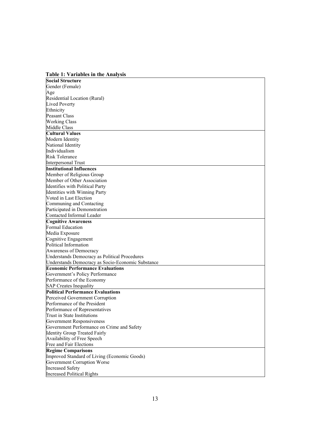**Table 1: Variables in the Analysis Social Structure**  Gender (Female) Age Residential Location (Rural) Lived Poverty Ethnicity Peasant Class Working Class Middle Class **Cultural Values**  Modern Identity National Identity Individualism Risk Tolerance Interpersonal Trust **Institutional Influences**  Member of Religious Group Member of Other Association Identifies with Political Party Identities with Winning Party Voted in Last Election Communing and Contacting Participated in Demonstration Contacted Informal Leader **Cognitive Awareness**  Formal Education Media Exposure Cognitive Engagement Political Information Awareness of Democracy Understands Democracy as Political Procedures Understands Democracy as Socio-Economic Substance **Economic Performance Evaluations**  Government's Policy Performance Performance of the Economy SAP Creates Inequality **Political Performance Evaluations**  Perceived Government Corruption Performance of the President Performance of Representatives Trust in State Institutions Government Responsiveness Government Performance on Crime and Safety Identity Group Treated Fairly Availability of Free Speech Free and Fair Elections **Regime Comparisons**  Improved Standard of Living (Economic Goods) Government Corruption Worse Increased Safety Increased Political Rights

## 13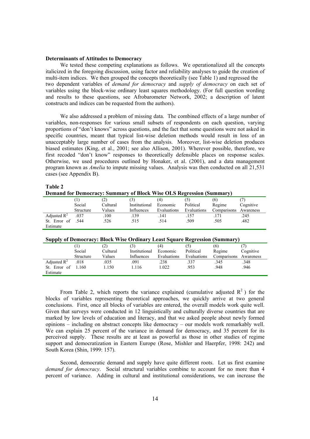#### **Determinants of Attitudes to Democracy**

**Table 2** 

We tested these competing explanations as follows. We operationalized all the concepts italicized in the foregoing discussion, using factor and reliability analyses to guide the creation of multi-item indices. We then grouped the concepts theoretically (see Table 1) and regressed the two dependent variables of *demand for democracy* and *supply of democracy* on each set of variables using the block-wise ordinary least squares methodology. (For full question wording and results to these questions, see Afrobarometer Network, 2002; a description of latent constructs and indices can be requested from the authors).

We also addressed a problem of missing data. The combined effects of a large number of variables, non-responses for various small subsets of respondents on each question, varying proportions of "don't knows" across questions, and the fact that some questions were not asked in specific countries, meant that typical list-wise deletion methods would result in loss of an unacceptably large number of cases from the analysis. Moreover, list-wise deletion produces biased estimates (King, et al., 2001; see also Allison, 2001). Wherever possible, therefore, we first recoded "don't know" responses to theoretically defensible places on response scales. Otherwise, we used procedures outlined by Honaker, et al. (2001), and a data management program known as *Amelia* to impute missing values. Analysis was then conducted on all 21,531 cases (see Appendix B).

| <b>Demand for Democracy: Summary of Block Wise OLS Regression (Summary)</b> |           |          |               |             |             |                       |           |
|-----------------------------------------------------------------------------|-----------|----------|---------------|-------------|-------------|-----------------------|-----------|
|                                                                             |           | (2)      | (3)           | (4)         | (5)         | (6)                   |           |
|                                                                             | Social    | Cultural | Institutional | Economic    | Political   | Regime                | Cognitive |
|                                                                             | Structure | Values   | Influences    | Evaluations | Evaluations | Comparisons Awareness |           |
| Adjusted $R^2$                                                              | .037      | .100     | .139          | .141        | .157        | .171                  | .245      |
| St. Error of                                                                | - 544     | .526     | .515          | .514        | .509        | .505                  | .482      |
| Estimate                                                                    |           |          |               |             |             |                       |           |
|                                                                             |           |          |               |             |             |                       |           |

#### **Supply of Democracy: Block Wise Ordinary Least Square Regression (Summary)**

| .                       |           |                   |               |             | -           |             |           |
|-------------------------|-----------|-------------------|---------------|-------------|-------------|-------------|-----------|
|                         |           | $\left( 2\right)$ |               | (4)         |             | (6)         |           |
|                         | Social    | Cultural          | Institutional | Economic    | Political   | Regime      | Cognitive |
|                         | Structure | Values            | Influences    | Evaluations | Evaluations | Comparisons | Awareness |
| Adjusted $\mathbb{R}^2$ | .018      | .035              | .091          | .238        | .337        | .345        | .348      |
| St. Error of            | 1.160     | .150              | 1.116         | 1.022       | 953         | .948        | .946      |
| Estimate                |           |                   |               |             |             |             |           |

From Table 2, which reports the variance explained (cumulative adjusted  $R^2$ ) for the blocks of variables representing theoretical approaches, we quickly arrive at two general conclusions. First, once all blocks of variables are entered, the overall models work quite well. Given that surveys were conducted in 12 linguistically and culturally diverse countries that are marked by low levels of education and literacy, and that we asked people about newly formed opinions – including on abstract concepts like democracy – our models work remarkably well. We can explain 25 percent of the variance in demand for democracy, and 35 percent for its perceived supply. These results are at least as powerful as those in other studies of regime support and democratization in Eastern Europe (Rose, Mishler and Haerpfer, 1998: 242) and South Korea (Shin, 1999: 157).

Second, democratic demand and supply have quite different roots. Let us first examine *demand for democracy*. Social structural variables combine to account for no more than 4 percent of variance. Adding in cultural and institutional considerations, we can increase the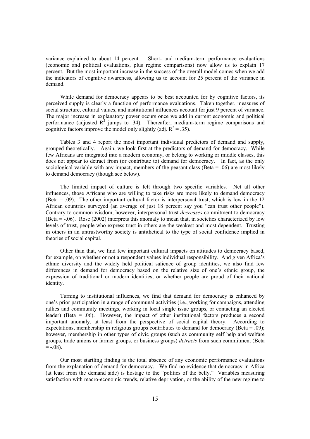variance explained to about 14 percent. Short- and medium-term performance evaluations (economic and political evaluations, plus regime comparisons) now allow us to explain 17 percent. But the most important increase in the success of the overall model comes when we add the indicators of cognitive awareness, allowing us to account for 25 percent of the variance in demand.

While demand for democracy appears to be best accounted for by cognitive factors, its perceived supply is clearly a function of performance evaluations. Taken together, measures of social structure, cultural values, and institutional influences account for just 9 percent of variance. The major increase in explanatory power occurs once we add in current economic and political performance (adjusted  $\mathbb{R}^2$  jumps to .34). Thereafter, medium-term regime comparisons and cognitive factors improve the model only slightly (adj.  $R^2 = .35$ ).

Tables 3 and 4 report the most important individual predictors of demand and supply, grouped theoretically. Again, we look first at the predictors of demand for democracy. While few Africans are integrated into a modern economy, or belong to working or middle classes, this does not appear to detract from (or contribute to) demand for democracy. In fact, as the only sociological variable with any impact, members of the peasant class (Beta  $= .06$ ) are most likely to demand democracy (though see below).

The limited impact of culture is felt through two specific variables. Net all other influences, those Africans who are willing to take risks are more likely to demand democracy (Beta = .09). The other important cultural factor is interpersonal trust, which is low in the 12 African countries surveyed (an average of just 18 percent say you "can trust other people"). Contrary to common wisdom, however, interpersonal trust *decreases* commitment to democracy (Beta = -.06). Rose (2002) interprets this anomaly to mean that, in societies characterized by low levels of trust, people who express trust in others are the weakest and most dependent. Trusting in others in an untrustworthy society is antithetical to the type of social confidence implied in theories of social capital.

Other than that, we find few important cultural impacts on attitudes to democracy based, for example, on whether or not a respondent values individual responsibility. And given Africa's ethnic diversity and the widely held political salience of group identities, we also find few differences in demand for democracy based on the relative size of one's ethnic group, the expression of traditional or modern identities, or whether people are proud of their national identity.

Turning to institutional influences, we find that demand for democracy is enhanced by one's prior participation in a range of communal activities (i.e., working for campaigns, attending rallies and community meetings, working in local single issue groups, or contacting an elected leader) (Beta = .06). However, the impact of other institutional factors produces a second important anomaly, at least from the perspective of social capital theory. According to expectations, membership in religious groups contributes to demand for democracy (Beta  $= .09$ ); however, membership in other types of civic groups (such as community self help and welfare groups, trade unions or farmer groups, or business groups) *detracts* from such commitment (Beta  $= -0.08$ .

Our most startling finding is the total absence of any economic performance evaluations from the explanation of demand for democracy. We find no evidence that democracy in Africa (at least from the demand side) is hostage to the "politics of the belly." Variables measuring satisfaction with macro-economic trends, relative deprivation, or the ability of the new regime to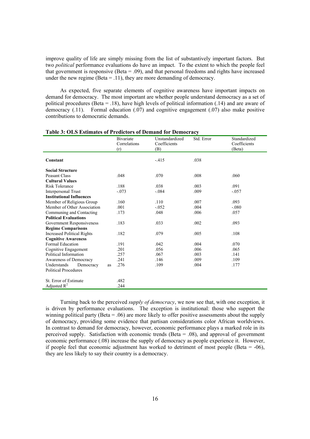improve quality of life are simply missing from the list of substantively important factors. But two *political* performance evaluations do have an impact. To the extent to which the people feel that government is responsive (Beta = .09), and that personal freedoms and rights have increased under the new regime (Beta  $=$  .11), they are more demanding of democracy.

As expected, five separate elements of cognitive awareness have important impacts on demand for democracy. The most important are whether people understand democracy as a set of political procedures (Beta = .18), have high levels of political information (.14) and are aware of democracy (.11). Formal education (.07) and cognitive engagement (.07) also make positive contributions to democratic demands.

|                                   | <b>Bivariate</b> | Unstandardized | Std. Error | Standardized |
|-----------------------------------|------------------|----------------|------------|--------------|
|                                   | Correlations     | Coefficients   |            | Coefficients |
|                                   | (r)              | (B)            |            | (Beta)       |
| Constant                          |                  | $-415$         | .038       |              |
| <b>Social Structure</b>           |                  |                |            |              |
| <b>Peasant Class</b>              | .048             | .070           | .008       | .060         |
| <b>Cultural Values</b>            |                  |                |            |              |
| Risk Tolerance                    | .188             | .038           | .003       | .091         |
| <b>Interpersonal Trust</b>        | $-.073$          | $-.084$        | .009       | $-.057$      |
| <b>Institutional Influences</b>   |                  |                |            |              |
| Member of Religious Group         | .160             | .110           | .007       | .093         |
| Member of Other Association       | .001             | $-.052$        | .004       | $-.080$      |
| Communing and Contacting          | .173             | .048           | .006       | .057         |
| <b>Political Evaluations</b>      |                  |                |            |              |
| Government Responsiveness         | .183             | .033           | .002       | .093         |
| <b>Regime Comparisons</b>         |                  |                |            |              |
| <b>Increased Political Rights</b> | .182             | .079           | .005       | .108         |
| <b>Cognitive Awareness</b>        |                  |                |            |              |
| <b>Formal Education</b>           | .191             | .042           | .004       | .070         |
| Cognitive Engagement              | .201             | .056           | .006       | .065         |
| Political Information             | .257             | .067           | .003       | .141         |
| Awareness of Democracy            | .241             | .146           | .009       | .109         |
| Understands<br>Democracy          | .276<br>as       | .109           | .004       | .177         |
| <b>Political Procedures</b>       |                  |                |            |              |
|                                   |                  |                |            |              |
| St. Error of Estimate             | .482             |                |            |              |
| Adjusted $R^2$                    | .244             |                |            |              |

**Table 3: OLS Estimates of Predictors of Demand for Democracy** 

Turning back to the perceived *supply of democracy*, we now see that, with one exception, it is driven by performance evaluations. The exception is institutional: those who support the winning political party (Beta  $= .06$ ) are more likely to offer positive assessments about the supply of democracy, providing some evidence that partisan considerations color African worldviews. In contrast to demand for democracy, however, economic performance plays a marked role in its perceived supply. Satisfaction with economic trends (Beta  $= .08$ ), and approval of government economic performance (.08) increase the supply of democracy as people experience it. However, if people feel that economic adjustment has worked to detriment of most people (Beta  $=$  -06), they are less likely to say their country is a democracy.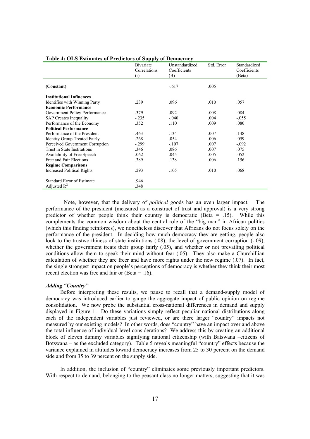|                                      | Bivariate<br>Correlations<br>(r) | Unstandardized<br>Coefficients<br>(B) | Std. Error | Standardized<br>Coefficients<br>(Beta) |
|--------------------------------------|----------------------------------|---------------------------------------|------------|----------------------------------------|
|                                      |                                  |                                       |            |                                        |
| (Constant)                           |                                  | $-.617$                               | .005       |                                        |
| <b>Institutional Influences</b>      |                                  |                                       |            |                                        |
| Identifies with Winning Party        | .239                             | .096                                  | .010       | .057                                   |
| <b>Economic Performance</b>          |                                  |                                       |            |                                        |
| Government Policy Performance        | .379                             | .092                                  | .008       | .084                                   |
| <b>SAP</b> Creates Inequality        | $-.235$                          | $-.040$                               | .004       | $-.055$                                |
| Performance of the Economy           | .352                             | .110                                  | .009       | .080                                   |
| <b>Political Performance</b>         |                                  |                                       |            |                                        |
| Performance of the President         | .463                             | .134                                  | .007       | .148                                   |
| <b>Identity Group Treated Fairly</b> | .268                             | .054                                  | .006       | .059                                   |
| Perceived Government Corruption      | $-.299$                          | $-.107$                               | .007       | $-.092$                                |
| Trust in State Institutions          | .346                             | .086                                  | .007       | .075                                   |
| Availability of Free Speech          | .062                             | .045                                  | .005       | .052                                   |
| Free and Fair Elections              | .389                             | .138                                  | .006       | .156                                   |
| <b>Regime Comparisons</b>            |                                  |                                       |            |                                        |
| <b>Increased Political Rights</b>    | .293                             | .105                                  | .010       | .068                                   |
| <b>Standard Error of Estimate</b>    | .946                             |                                       |            |                                        |
| Adjusted $R^2$                       | .348                             |                                       |            |                                        |

#### **Table 4: OLS Estimates of Predictors of Supply of Democracy**

Note, however, that the delivery of *political* goods has an even larger impact. The performance of the president (measured as a construct of trust and approval) is a very strong predictor of whether people think their country is democratic (Beta  $=$  .15). While this complements the common wisdom about the central role of the "big man" in African politics (which this finding reinforces), we nonetheless discover that Africans do not focus solely on the performance of the president. In deciding how much democracy they are getting, people also look to the trustworthiness of state institutions (.08), the level of government corruption (-.09), whether the government treats their group fairly (.05), and whether or not prevailing political conditions allow them to speak their mind without fear (.05). They also make a Churchillian calculation of whether they are freer and have more rights under the new regime (.07). In fact, the single strongest impact on people's perceptions of democracy is whether they think their most recent election was free and fair or (Beta = .16).

### *Adding "Country"*

Before interpreting these results, we pause to recall that a demand-supply model of democracy was introduced earlier to gauge the aggregate impact of public opinion on regime consolidation. We now probe the substantial cross-national differences in demand and supply displayed in Figure 1. Do these variations simply reflect peculiar national distributions along each of the independent variables just reviewed, or are there larger "country" impacts not measured by our existing models? In other words, does "country" have an impact over and above the total influence of individual-level considerations? We address this by creating an additional block of eleven dummy variables signifying national citizenship (with Batswana –citizens of Botswana – as the excluded category). Table 5 reveals meaningful "country" effects because the variance explained in attitudes toward democracy increases from 25 to 30 percent on the demand side and from 35 to 39 percent on the supply side.

In addition, the inclusion of "country" eliminates some previously important predictors. With respect to demand, belonging to the peasant class no longer matters, suggesting that it was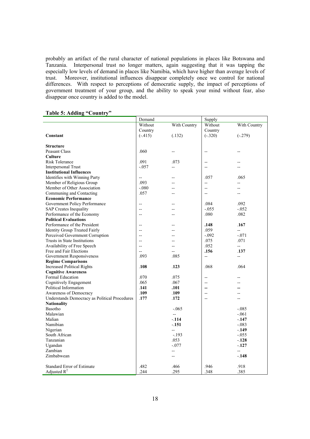probably an artifact of the rural character of national populations in places like Botswana and Tanzania. Interpersonal trust no longer matters, again suggesting that it was tapping the especially low levels of demand in places like Namibia, which have higher than average levels of trust. Moreover, institutional influences disappear completely once we control for national differences. With respect to perceptions of democratic supply, the impact of perceptions of government treatment of your group, and the ability to speak your mind without fear, also disappear once country is added to the model.

|  | Table 5: Adding "Country" |
|--|---------------------------|
|  |                           |

|                                               | Demand                   |                          | Supply                   |                          |
|-----------------------------------------------|--------------------------|--------------------------|--------------------------|--------------------------|
|                                               | Without                  | With Country             | Without                  | With Country             |
|                                               | Country                  |                          | Country                  |                          |
| Constant                                      | $(-.415)$                | (.132)                   | $(-.320)$                | $(-.279)$                |
|                                               |                          |                          |                          |                          |
| <b>Structure</b>                              |                          |                          |                          |                          |
| <b>Peasant Class</b>                          | .060                     |                          | --                       |                          |
| <b>Culture</b>                                |                          |                          |                          |                          |
| <b>Risk Tolerance</b>                         | .091                     | .073                     | $-$                      |                          |
| <b>Interpersonal Trust</b>                    | $-.057$                  | --                       | $-$                      |                          |
| <b>Institutional Influences</b>               |                          |                          |                          |                          |
| Identifies with Winning Party                 | $\overline{\phantom{a}}$ |                          | .057                     | .065                     |
| Member of Religious Group                     | .093                     |                          | $\overline{\phantom{a}}$ | $\overline{a}$           |
| Member of Other Association                   | $-.080$                  |                          | $-$                      |                          |
| Communing and Contacting                      | .057                     |                          | $-$                      |                          |
| <b>Economic Performance</b>                   |                          |                          |                          |                          |
| Government Policy Performance                 | $-$                      |                          | .084                     | .092                     |
| <b>SAP Creates Inequality</b>                 | $\overline{a}$           |                          | $-.055$                  | $-.052$                  |
| Performance of the Economy                    | $-$                      |                          | .080                     | .082                     |
| <b>Political Evaluations</b>                  |                          |                          |                          |                          |
| Performance of the President                  | $-$                      |                          | .148                     | .167                     |
| <b>Identity Group Treated Fairly</b>          | $\overline{a}$           |                          | .059                     | --                       |
| Perceived Government Corruption               | $-$                      |                          | $-.092$                  | $-.071$                  |
| Trusts in State Institutions                  | $-$                      |                          | .075                     | .071                     |
| Availability of Free Speech                   | $\overline{a}$           |                          | .052                     | ÷.                       |
| Free and Fair Elections                       | $\overline{a}$           | $-$                      | .156                     | .137                     |
| Government Responsiveness                     | .093                     | .085                     | --                       | $\overline{\phantom{a}}$ |
| <b>Regime Comparisons</b>                     |                          |                          |                          |                          |
| <b>Increased Political Rights</b>             | .108                     | .123                     | .068                     | .064                     |
| <b>Cognitive Awareness</b>                    |                          |                          |                          |                          |
| Formal Education                              | .070                     | .075                     | $-$                      |                          |
| Cognitively Engagement                        | .065                     | .067                     | $\overline{\phantom{a}}$ |                          |
| Political Information                         | .141                     | .101                     | $\overline{\phantom{a}}$ |                          |
| Awareness of Democracy                        | .109                     | .109                     | $\overline{a}$           |                          |
| Understands Democracy as Political Procedures | .177                     | .172                     | $-$                      |                          |
| <b>Nationality</b>                            |                          |                          |                          |                          |
| Basotho                                       |                          | $-.065$                  |                          | $-.085$                  |
| Malawian                                      |                          | $\overline{\phantom{a}}$ |                          | $-.061$                  |
| Malian                                        |                          | $-114$                   |                          | $-.147$                  |
| Namibian                                      |                          | $-151$                   |                          | $-.083$                  |
| Nigerian                                      |                          | --                       |                          | $-149$                   |
| South African                                 |                          | $-.193$                  |                          | $-.055$                  |
| Tanzanian                                     |                          | .053                     |                          | $-.128$                  |
| Ugandan                                       |                          | $-.077$                  |                          | $-127$                   |
| Zambian                                       |                          |                          |                          | $\overline{a}$           |
| Zimbabwean                                    |                          |                          |                          | $-.148$                  |
|                                               |                          |                          |                          |                          |
| Standard Error of Estimate                    | .482                     | .466                     | .946                     | .918                     |
| Adjusted $R^2$                                | .244                     | .295                     | .348                     | .385                     |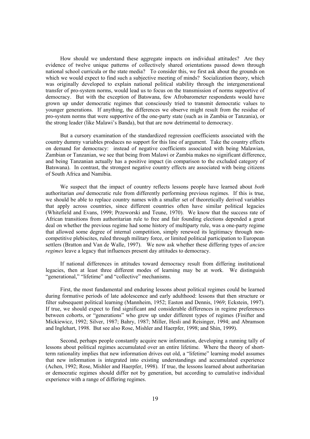How should we understand these aggregate impacts on individual attitudes? Are they evidence of twelve unique patterns of collectively shared orientations passed down through national school curricula or the state media? To consider this, we first ask about the grounds on which we would expect to find such a subjective meeting of minds? Socialization theory, which was originally developed to explain national political stability through the intergenerational transfer of pro-system norms, would lead us to focus on the transmission of norms supportive of democracy. But with the exception of Batswana, few Afrobarometer respondents would have grown up under democratic regimes that consciously tried to transmit democratic values to younger generations. If anything, the differences we observe might result from the residue of pro-system norms that were supportive of the one-party state (such as in Zambia or Tanzania), or the strong leader (like Malawi's Banda), but that are now detrimental to democracy.

But a cursory examination of the standardized regression coefficients associated with the country dummy variables produces no support for this line of argument. Take the country effects on demand for democracy: instead of negative coefficients associated with being Malawian, Zambian or Tanzanian, we see that being from Malawi or Zambia makes no significant difference, and being Tanzanian actually has a positive impact (in comparison to the excluded category of Batswana). In contrast, the strongest negative country effects are associated with being citizens of South Africa and Namibia.

We suspect that the impact of country reflects lessons people have learned about *both* authoritarian *and* democratic rule from differently performing previous regimes. If this is true, we should be able to replace country names with a smaller set of theoretically derived variables that apply across countries, since different countries often have similar political legacies (Whitefield and Evans, 1999; Przeworski and Teune, 1970). We know that the success rate of African transitions from authoritarian rule to free and fair founding elections depended a great deal on whether the previous regime had some history of multiparty rule, was a one-party regime that allowed some degree of internal competition, simply renewed its legitimacy through noncompetitive plebiscites, ruled through military force, or limited political participation to European settlers (Bratton and Van de Walle, 1997). We now ask whether these differing types of *ancien regimes* leave a legacy that influences present day attitudes to democracy.

If national differences in attitudes toward democracy result from differing institutional legacies, then at least three different modes of learning may be at work. We distinguish "generational," "lifetime" and "collective" mechanisms.

First, the most fundamental and enduring lessons about political regimes could be learned during formative periods of late adolescence and early adulthood: lessons that then structure or filter subsequent political learning (Mannheim, 1952; Easton and Dennis, 1969; Eckstein, 1997). If true, we should expect to find significant and considerable differences in regime preferences between cohorts, or "generations" who grew up under different types of regimes (Finifter and Mickiewicz, 1992; Silver, 1987; Bahry, 1987; Miller, Hesli and Reisinger, 1994; and Abramson and Inglehart, 1998. But see also Rose, Mishler and Haerpfer, 1998; and Shin, 1999).

Second, perhaps people constantly acquire new information, developing a running tally of lessons about political regimes accumulated over an entire lifetime. Where the theory of shortterm rationality implies that new information drives out old, a "lifetime" learning model assumes that new information is integrated into existing understandings and accumulated experience (Achen, 1992; Rose, Mishler and Haerpfer, 1998). If true, the lessons learned about authoritarian or democratic regimes should differ not by generation, but according to cumulative individual experience with a range of differing regimes.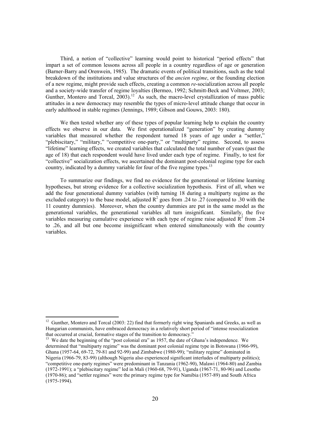Third, a notion of "collective" learning would point to historical "period effects" that impart a set of common lessons across all people in a country regardless of age or generation (Barner-Barry and Orenwein, 1985). The dramatic events of political transitions, such as the total breakdown of the institutions and value structures of the *ancien regime*, or the founding election of a new regime, might provide such effects, creating a common *re*-socialization across all people and a society-wide transfer of regime loyalties (Bermeo, 1992; Schmitt-Beck and Voltmer, 2003; Gunther, Montero and Torcal, 2003).<sup>12</sup> As such, the macro-level crystallization of mass public attitudes in a new democracy may resemble the types of micro-level attitude change that occur in early adulthood in stable regimes (Jennings, 1989; Gibson and Gouws, 2003: 180).

We then tested whether any of these types of popular learning help to explain the country effects we observe in our data. We first operationalized "generation" by creating dummy variables that measured whether the respondent turned 18 years of age under a "settler," "plebiscitary," "military," "competitive one-party," or "multiparty" regime. Second, to assess "lifetime" learning effects, we created variables that calculated the total number of years (past the age of 18) that each respondent would have lived under each type of regime. Finally, to test for "collective" socialization effects, we ascertained the dominant post-colonial regime type for each country, indicated by a dummy variable for four of the five regime types.<sup>13</sup>

To summarize our findings, we find no evidence for the generational or lifetime learning hypotheses, but strong evidence for a collective socialization hypothesis. First of all, when we add the four generational dummy variables (with turning 18 during a multiparty regime as the excluded category) to the base model, adjusted  $\mathbb{R}^2$  goes from .24 to .27 (compared to .30 with the 11 country dummies). Moreover, when the country dummies are put in the same model as the generational variables, the generational variables all turn insignificant. Similarly, the five variables measuring cumulative experience with each type of regime raise adjusted  $\mathbb{R}^2$  from .24 to .26, and all but one become insignificant when entered simultaneously with the country variables.

l

<sup>13</sup> We date the beginning of the "post colonial era" as 1957, the date of Ghana's independence. We determined that "multiparty regime" was the dominant post colonial regime type in Botswana (1966-99), Ghana (1957-64, 69-72, 79-81 and 92-99) and Zimbabwe (1980-99); "military regime" dominated in Nigeria (1966-79, 83-99) (although Nigeria also experienced significant interludes of multiparty politics); "competitive one-party regimes" were predominant in Tanzania (1962-90), Malawi (1964-80) and Zambia (1972-1991); a "plebiscitary regime" led in Mali (1960-68, 79-91), Uganda (1967-71, 80-96) and Lesotho (1970-86); and "settler regimes" were the primary regime type for Namibia (1957-89) and South Africa  $(1975-1994)$ .

<sup>&</sup>lt;sup>12</sup> Gunther, Montero and Torcal (2003: 22) find that formerly right wing Spaniards and Greeks, as well as Hungarian communists, have embraced democracy in a relatively short period of "intense resocialization that occurred at crucial, formative stages of the transition to democracy."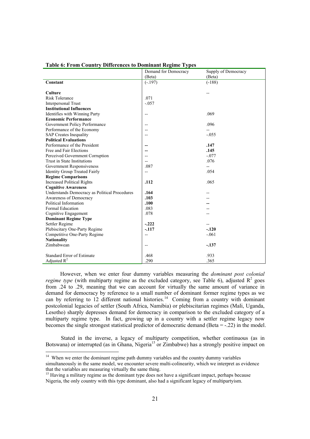|                                               | Demand for Democracy     | Supply of Democracy |
|-----------------------------------------------|--------------------------|---------------------|
|                                               | (Beta)                   | (Beta)              |
| Constant                                      | $(-.197)$                | $(-188)$            |
|                                               |                          |                     |
| <b>Culture</b>                                |                          |                     |
| <b>Risk Tolerance</b>                         | .071                     |                     |
| <b>Interpersonal Trust</b>                    | $-.057$                  |                     |
| <b>Institutional Influences</b>               |                          |                     |
| Identifies with Winning Party                 | $\overline{\phantom{a}}$ | .069                |
| <b>Economic Performance</b>                   |                          |                     |
| Government Policy Performance                 | $\overline{a}$           | .096                |
| Performance of the Economy                    | $-$                      |                     |
| <b>SAP Creates Inequality</b>                 | $-$                      | $-.055$             |
| <b>Political Evaluations</b>                  |                          |                     |
| Performance of the President                  |                          | .147                |
| Free and Fair Elections                       |                          | .145                |
| Perceived Government Corruption               | $-$                      | $-.077$             |
| Trust in State Institutions                   | $-$                      | .076                |
| Government Responsiveness                     | .087                     | $- -$               |
| <b>Identity Group Treated Fairly</b>          | $\overline{a}$           | .054                |
| <b>Regime Comparisons</b>                     |                          |                     |
| <b>Increased Political Rights</b>             | .112                     | .065                |
| <b>Cognitive Awareness</b>                    |                          |                     |
| Understands Democracy as Political Procedures | .164                     |                     |
| Awareness of Democracy                        | .103                     |                     |
| Political Information                         | .100                     |                     |
| <b>Formal Education</b>                       | .083                     |                     |
| Cognitive Engagement                          | .078                     |                     |
| <b>Dominant Regime Type</b>                   |                          |                     |
| Settler Regime                                | $-.222$                  |                     |
| Plebiscitary One-Party Regime                 | $-117$                   | $-.120$             |
| Competitive One-Party Regime                  | $\overline{a}$           | $-.061$             |
| <b>Nationality</b>                            |                          |                     |
| Zimbabwean                                    | --                       | $-137$              |
|                                               |                          |                     |
| Standard Error of Estimate                    | .468                     | .933                |
| Adjusted $R^2$                                | 290                      | .365                |

# **Table 6: From Country Differences to Dominant Regime Types**

However, when we enter four dummy variables measuring the *dominant post colonial regime type* (with multiparty regime as the excluded category, see Table 6), adjusted  $R^2$  goes from .24 to .29, meaning that we can account for virtually the same amount of variance in demand for democracy by reference to a small number of dominant former regime types as we can by referring to 12 different national histories.<sup>14</sup> Coming from a country with dominant postcolonial legacies of settler (South Africa, Namibia) or plebiscitarian regimes (Mali, Uganda, Lesotho) sharply depresses demand for democracy in comparison to the excluded category of a multiparty regime type. In fact, growing up in a country with a settler regime legacy now becomes the single strongest statistical predictor of democratic demand (Beta = -.22) in the model.

 Stated in the inverse, a legacy of multiparty competition, whether continuous (as in Botswana) or interrupted (as in Ghana, Nigeria<sup>15</sup> or Zimbabwe) has a strongly positive impact on

l

 $14$  When we enter the dominant regime path dummy variables and the country dummy variables simultaneously in the same model, we encounter severe multi-colinearity, which we interpret as evidence that the variables are measuring virtually the same thing. 15 Having a military regime as the dominant type does not have a significant impact, perhaps because

Nigeria, the only country with this type dominant, also had a significant legacy of multipartyism.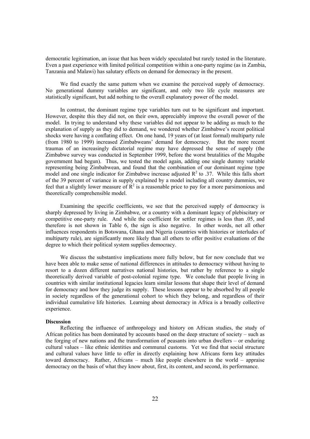democratic legitimation, an issue that has been widely speculated but rarely tested in the literature. Even a past experience with limited political competition within a one-party regime (as in Zambia, Tanzania and Malawi) has salutary effects on demand for democracy in the present.

We find exactly the same pattern when we examine the perceived supply of democracy. No generational dummy variables are significant, and only two life cycle measures are statistically significant, but add nothing to the overall explanatory power of the model.

In contrast, the dominant regime type variables turn out to be significant and important. However, despite this they did not, on their own, appreciably improve the overall power of the model. In trying to understand why these variables did not appear to be adding as much to the explanation of supply as they did to demand, we wondered whether Zimbabwe's recent political shocks were having a conflating effect. On one hand, 19 years of (at least formal) multiparty rule (from 1980 to 1999) increased Zimbabweans' demand for democracy. But the more recent traumas of an increasingly dictatorial regime may have depressed the sense of supply (the Zimbabwe survey was conducted in September 1999, before the worst brutalities of the Mugabe government had begun). Thus, we tested the model again, adding one single dummy variable representing being Zimbabwean, and found that the combination of our dominant regime type model and one single indicator for Zimbabwe increase adjusted  $R^2$  to .37. While this falls short of the 39 percent of variance in supply explained by a model including all country dummies, we feel that a slightly lower measure of  $\mathbb{R}^2$  is a reasonable price to pay for a more parsimonious and theoretically comprehensible model.

Examining the specific coefficients, we see that the perceived supply of democracy is sharply depressed by living in Zimbabwe, or a country with a dominant legacy of plebiscitary or competitive one-party rule. And while the coefficient for settler regimes is less than .05, and therefore is not shown in Table 6, the sign is also negative. In other words, net all other influences respondents in Botswana, Ghana and Nigeria (countries with histories or interludes of multiparty rule), are significantly more likely than all others to offer positive evaluations of the degree to which their political system supplies democracy.

We discuss the substantive implications more fully below, but for now conclude that we have been able to make sense of national differences in attitudes to democracy without having to resort to a dozen different narratives national histories, but rather by reference to a single theoretically derived variable of post-colonial regime type. We conclude that people living in countries with similar institutional legacies learn similar lessons that shape their level of demand for democracy and how they judge its supply. These lessons appear to be absorbed by all people in society regardless of the generational cohort to which they belong, and regardless of their individual cumulative life histories. Learning about democracy in Africa is a broadly collective experience.

#### **Discussion**

Reflecting the influence of anthropology and history on African studies, the study of African politics has been dominated by accounts based on the deep structure of society – such as the forging of new nations and the transformation of peasants into urban dwellers – or enduring cultural values – like ethnic identities and communal customs. Yet we find that social structure and cultural values have little to offer in directly explaining how Africans form key attitudes toward democracy. Rather, Africans – much like people elsewhere in the world – appraise democracy on the basis of what they know about, first, its content, and second, its performance.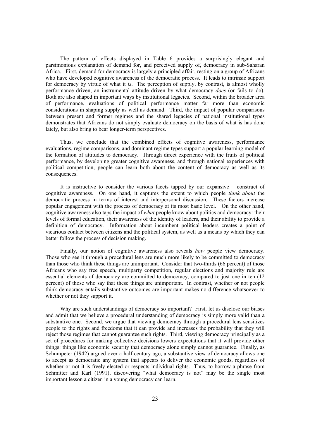The pattern of effects displayed in Table 6 provides a surprisingly elegant and parsimonious explanation of demand for, and perceived supply of, democracy in sub-Saharan Africa. First, demand for democracy is largely a principled affair, resting on a group of Africans who have developed cognitive awareness of the democratic process. It leads to intrinsic support for democracy by virtue of what it *is*. The perception of supply, by contrast, is almost wholly performance driven, an instrumental attitude driven by what democracy *does* (or fails to do). Both are also shaped in important ways by institutional legacies. Second, within the broader area of performance, evaluations of political performance matter far more than economic considerations in shaping supply as well as demand. Third, the impact of popular comparisons between present and former regimes and the shared legacies of national institutional types demonstrates that Africans do not simply evaluate democracy on the basis of what is has done lately, but also bring to bear longer-term perspectives.

Thus, we conclude that the combined effects of cognitive awareness, performance evaluations, regime comparisons, and dominant regime types support a popular learning model of the formation of attitudes to democracy. Through direct experience with the fruits of political performance, by developing greater cognitive awareness, and through national experiences with political competition, people can learn both about the content of democracy as well as its consequences.

It is instructive to consider the various facets tapped by our expansive construct of cognitive awareness. On one hand, it captures the extent to which people *think about* the democratic process in terms of interest and interpersonal discussion. These factors increase popular engagement with the process of democracy at its most basic level. On the other hand, cognitive awareness also taps the impact of *what* people know about politics and democracy: their levels of formal education, their awareness of the identity of leaders, and their ability to provide a definition of democracy. Information about incumbent political leaders creates a point of vicarious contact between citizens and the political system, as well as a means by which they can better follow the process of decision making.

Finally, our notion of cognitive awareness also reveals *how* people view democracy. Those who see it through a procedural lens are much more likely to be committed to democracy than those who think these things are unimportant. Consider that two-thirds (66 percent) of those Africans who say free speech, multiparty competition, regular elections and majority rule are essential elements of democracy are committed to democracy, compared to just one in ten (12 percent) of those who say that these things are unimportant. In contrast, whether or not people think democracy entails substantive outcomes are important makes no difference whatsoever to whether or not they support it.

Why are such understandings of democracy so important? First, let us disclose our biases and admit that we believe a procedural understanding of democracy is simply more valid than a substantive one. Second, we argue that viewing democracy through a procedural lens sensitizes people to the rights and freedoms that it can provide and increases the probability that they will reject those regimes that cannot guarantee such rights. Third, viewing democracy principally as a set of procedures for making collective decisions lowers expectations that it will provide other things: things like economic security that democracy alone simply cannot guarantee. Finally, as Schumpeter (1942) argued over a half century ago, a substantive view of democracy allows one to accept as democratic any system that appears to deliver the economic goods, regardless of whether or not it is freely elected or respects individual rights. Thus, to borrow a phrase from Schmitter and Karl (1991), discovering "what democracy is not" may be the single most important lesson a citizen in a young democracy can learn.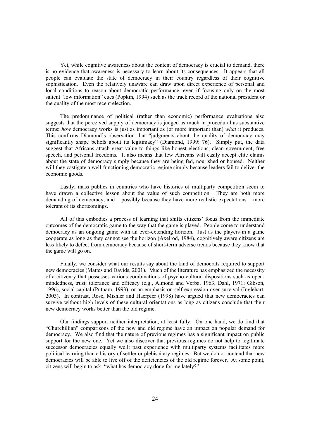Yet, while cognitive awareness about the content of democracy is crucial to demand, there is no evidence that awareness is necessary to learn about its consequences. It appears that all people can evaluate the state of democracy in their country regardless of their cognitive sophistication. Even the relatively unaware can draw upon direct experience of personal and local conditions to reason about democratic performance, even if focusing only on the most salient "low information" cues (Popkin, 1994) such as the track record of the national president or the quality of the most recent election.

The predominance of political (rather than economic) performance evaluations also suggests that the perceived supply of democracy is judged as much in procedural as substantive terms: *how* democracy works is just as important as (or more important than) *what* it produces. This confirms Diamond's observation that "judgments about the quality of democracy may significantly shape beliefs about its legitimacy" (Diamond, 1999: 76). Simply put, the data suggest that Africans attach great value to things like honest elections, clean government, free speech, and personal freedoms. It also means that few Africans will easily accept elite claims about the state of democracy simply because they are being fed, nourished or housed. Neither will they castigate a well-functioning democratic regime simply because leaders fail to deliver the economic goods.

Lastly, mass publics in countries who have histories of multiparty competition seem to have drawn a collective lesson about the value of such competition. They are both more demanding of democracy, and – possibly because they have more realistic expectations – more tolerant of its shortcomings.

All of this embodies a process of learning that shifts citizens' focus from the immediate outcomes of the democratic game to the way that the game is played. People come to understand democracy as an ongoing game with an ever-extending horizon. Just as the players in a game cooperate as long as they cannot see the horizon (Axelrod, 1984), cognitively aware citizens are less likely to defect from democracy because of short-term adverse trends because they know that the game will go on.

Finally, we consider what our results say about the kind of democrats required to support new democracies (Mattes and Davids, 2001). Much of the literature has emphasized the necessity of a citizenry that possesses various combinations of psycho-cultural dispositions such as openmindedness, trust, tolerance and efficacy (e.g., Almond and Verba, 1963; Dahl, 1971; Gibson, 1996), social capital (Putnam, 1993), or an emphasis on self-expression over survival (Inglehart, 2003). In contrast, Rose, Mishler and Haerpfer (1998) have argued that new democracies can survive without high levels of these cultural orientations as long as citizens conclude that their new democracy works better than the old regime.

Our findings support neither interpretation, at least fully. On one hand, we do find that "Churchillian" comparisons of the new and old regime have an impact on popular demand for democracy. We also find that the nature of previous regimes has a significant impact on public support for the new one. Yet we also discover that previous regimes do not help to legitimate successor democracies equally well: past experience with multiparty systems facilitates more political learning than a history of settler or plebiscitary regimes. But we do not contend that new democracies will be able to live off of the deficiencies of the old regime forever. At some point, citizens will begin to ask: "what has democracy done for me lately?"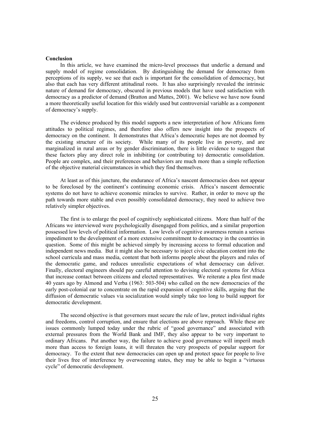#### **Conclusion**

In this article, we have examined the micro-level processes that underlie a demand and supply model of regime consolidation. By distinguishing the demand for democracy from perceptions of its supply, we see that each is important for the consolidation of democracy, but also that each has very different attitudinal roots. It has also surprisingly revealed the intrinsic nature of demand for democracy, obscured in previous models that have used satisfaction with democracy as a predictor of demand (Bratton and Mattes, 2001). We believe we have now found a more theoretically useful location for this widely used but controversial variable as a component of democracy's supply.

The evidence produced by this model supports a new interpretation of how Africans form attitudes to political regimes, and therefore also offers new insight into the prospects of democracy on the continent. It demonstrates that Africa's democratic hopes are not doomed by the existing structure of its society. While many of its people live in poverty, and are marginalized in rural areas or by gender discrimination, there is little evidence to suggest that these factors play any direct role in inhibiting (or contributing to) democratic consolidation. People are complex, and their preferences and behaviors are much more than a simple reflection of the objective material circumstances in which they find themselves.

At least as of this juncture, the endurance of Africa's nascent democracies does not appear to be foreclosed by the continent's continuing economic crisis. Africa's nascent democratic systems do not have to achieve economic miracles to survive. Rather, in order to move up the path towards more stable and even possibly consolidated democracy, they need to achieve two relatively simpler objectives.

The first is to enlarge the pool of cognitively sophisticated citizens. More than half of the Africans we interviewed were psychologically disengaged from politics, and a similar proportion possessed low levels of political information. Low levels of cognitive awareness remain a serious impediment to the development of a more extensive commitment to democracy in the countries in question. Some of this might be achieved simply by increasing access to formal education and independent news media. But it might also be necessary to inject civic education content into the school curricula and mass media, content that both informs people about the players and rules of the democratic game, and reduces unrealistic expectations of what democracy can deliver. Finally, electoral engineers should pay careful attention to devising electoral systems for Africa that increase contact between citizens and elected representatives. We reiterate a plea first made 40 years ago by Almond and Verba (1963: 503-504) who called on the new democracies of the early post-colonial ear to concentrate on the rapid expansion of cognitive skills, arguing that the diffusion of democratic values via socialization would simply take too long to build support for democratic development.

The second objective is that governors must secure the rule of law, protect individual rights and freedoms, control corruption, and ensure that elections are above reproach. While these are issues commonly lumped today under the rubric of "good governance" and associated with external pressures from the World Bank and IMF, they also appear to be very important to ordinary Africans. Put another way, the failure to achieve good governance will imperil much more than access to foreign loans, it will threaten the very prospects of popular support for democracy. To the extent that new democracies can open up and protect space for people to live their lives free of interference by overweening states, they may be able to begin a "virtuous cycle" of democratic development.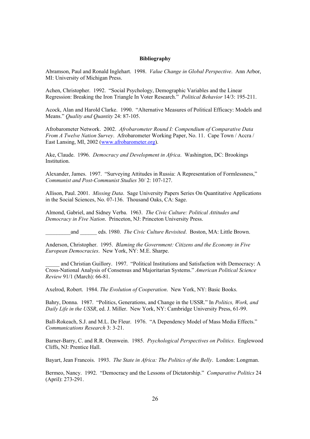### **Bibliography**

Abramson, Paul and Ronald Inglehart. 1998. *Value Change in Global Perspective*. Ann Arbor, MI: University of Michigan Press.

Achen, Christopher. 1992. "Social Psychology, Demographic Variables and the Linear Regression: Breaking the Iron Triangle In Voter Research." *Political Behavior* 14/3: 195-211.

Acock, Alan and Harold Clarke. 1990. "Alternative Measures of Political Efficacy: Models and Means." *Quality and Quantity* 24: 87-105.

Afrobarometer Network. 2002. *Afrobarometer Round I: Compendium of Comparative Data From A Twelve Nation Survey*. Afrobarometer Working Paper, No. 11. Cape Town / Accra / East Lansing, MI, 2002 (www.afrobarometer.org).

Ake, Claude. 1996. *Democracy and Development in Africa*. Washington, DC: Brookings Institution.

Alexander, James. 1997. "Surveying Attitudes in Russia: A Representation of Formlessness," *Communist and Post-Communist Studies* 30/ 2: 107-127.

Allison, Paul. 2001. *Missing Data*. Sage University Papers Series On Quantitative Applications in the Social Sciences, No. 07-136. Thousand Oaks, CA: Sage.

Almond, Gabriel, and Sidney Verba. 1963. *The Civic Culture: Political Attitudes and Democracy in Five Nation*. Princeton, NJ: Princeton University Press.

\_\_\_\_\_\_\_\_\_and \_\_\_\_\_\_ eds. 1980. *The Civic Culture Revisited*. Boston, MA: Little Brown.

Anderson, Christopher. 1995. *Blaming the Government: Citizens and the Economy in Five European Democracies*. New York, NY: M.E. Sharpe.

and Christian Guillory. 1997. "Political Institutions and Satisfaction with Democracy: A Cross-National Analysis of Consensus and Majoritarian Systems." *American Political Science Review* 91/1 (March): 66-81.

Axelrod, Robert. 1984. *The Evolution of Cooperation*. New York, NY: Basic Books.

Bahry, Donna. 1987. "Politics, Generations, and Change in the USSR." In *Politics, Work, and Daily Life in the USSR*, ed. J. Miller. New York, NY: Cambridge University Press, 61-99.

Ball-Rokeach, S.J. and M.L. De Fleur. 1976. "A Dependency Model of Mass Media Effects." *Communications Research* 3: 3-21.

Barner-Barry, C. and R.R. Orenwein. 1985. *Psychological Perspectives on Politics*. Englewood Cliffs, NJ: Prentice Hall.

Bayart, Jean Francois. 1993. *The State in Africa: The Politics of the Belly*. London: Longman.

Bermeo, Nancy. 1992. "Democracy and the Lessons of Dictatorship." *Comparative Politics* 24 (April): 273-291.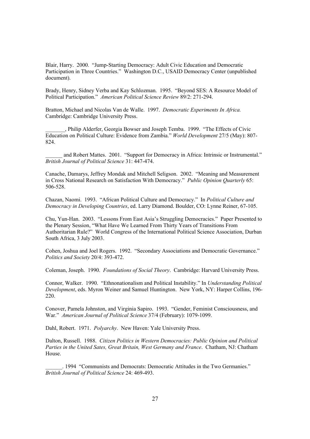Blair, Harry. 2000. "Jump-Starting Democracy: Adult Civic Education and Democratic Participation in Three Countries." Washington D.C., USAID Democracy Center (unpublished document).

Brady, Henry, Sidney Verba and Kay Schlozman. 1995. "Beyond SES: A Resource Model of Political Participation." *American Political Science Review* 89/2: 271-294.

Bratton, Michael and Nicolas Van de Walle. 1997. *Democratic Experiments In Africa.* Cambridge: Cambridge University Press.

\_\_\_\_\_\_\_, Philip Alderfer, Georgia Bowser and Joseph Temba. 1999. "The Effects of Civic Education on Political Culture: Evidence from Zambia." *World Development* 27/5 (May): 807- 824.

and Robert Mattes. 2001. "Support for Democracy in Africa: Intrinsic or Instrumental." *British Journal of Political Science* 31: 447-474.

Canache, Damarys, Jeffrey Mondak and Mitchell Seligson. 2002. "Meaning and Measurement in Cross National Research on Satisfaction With Democracy." *Public Opinion Quarterly* 65: 506-528.

Chazan, Naomi. 1993. "African Political Culture and Democracy." In *Political Culture and Democracy in Developing Countries*, ed. Larry Diamond. Boulder, CO: Lynne Reiner, 67-105.

Chu, Yun-Han. 2003. "Lessons From East Asia's Struggling Democracies." Paper Presented to the Plenary Session, "What Have We Learned From Thirty Years of Transitions From Authoritarian Rule?" World Congress of the International Political Science Association, Durban South Africa, 3 July 2003.

Cohen, Joshua and Joel Rogers. 1992. "Secondary Associations and Democratic Governance." *Politics and Society* 20/4: 393-472.

Coleman, Joseph. 1990. *Foundations of Social Theory*. Cambridge: Harvard University Press.

Connor, Walker. 1990. "Ethnonationalism and Political Instability." In *Understanding Political Development*, eds. Myron Weiner and Samuel Huntington. New York, NY: Harper Collins, 196- 220.

Conover, Pamela Johnston, and Virginia Sapiro. 1993. "Gender, Feminist Consciousness, and War." *American Journal of Political Science* 37/4 (February): 1079-1099.

Dahl, Robert. 1971. *Polyarchy*. New Haven: Yale University Press.

Dalton, Russell. 1988. *Citizen Politics in Western Democracies: Public Opinion and Political Parties in the United Sates, Great Britain, West Germany and France*. Chatham, NJ: Chatham House.

\_\_\_\_\_\_. 1994 "Communists and Democrats: Democratic Attitudes in the Two Germanies." *British Journal of Political Science* 24: 469-493.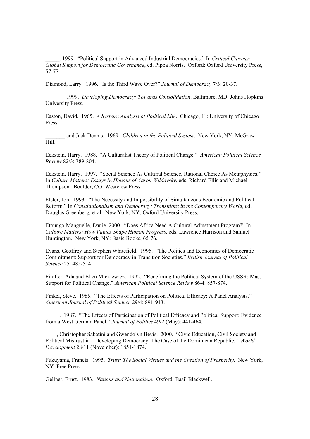\_\_\_\_\_. 1999. "Political Support in Advanced Industrial Democracies." In *Critical Citizens: Global Support for Democratic Governance*, ed. Pippa Norris. Oxford: Oxford University Press, 57-77.

Diamond, Larry. 1996. "Is the Third Wave Over?" *Journal of Democracy* 7/3: 20-37.

\_\_\_\_\_\_. 1999. *Developing Democracy: Towards Consolidation*. Baltimore, MD: Johns Hopkins University Press.

Easton, David. 1965. *A Systems Analysis of Political Life*. Chicago, IL: University of Chicago Press.

\_\_\_\_\_\_\_ and Jack Dennis. 1969. *Children in the Political System*. New York, NY: McGraw Hill.

Eckstein, Harry. 1988. "A Culturalist Theory of Political Change." *American Political Science Review* 82/3: 789-804.

Eckstein, Harry. 1997. "Social Science As Cultural Science, Rational Choice As Metaphysics." In *Culture Matters: Essays In Honour of Aaron Wildavsky*, eds. Richard Ellis and Michael Thompson. Boulder, CO: Westview Press.

Elster, Jon. 1993. "The Necessity and Impossibility of Simultaneous Economic and Political Reform." In *Constitutionalism and Democracy: Transitions in the Contemporary World*, ed. Douglas Greenberg, et al. New York, NY: Oxford University Press.

Etounga-Manguelle, Danie. 2000. "Does Africa Need A Cultural Adjustment Program?" In *Culture Matters: How Values Shape Human Progress*, eds. Lawrence Harrison and Samuel Huntington. New York, NY: Basic Books, 65-76.

Evans, Geoffrey and Stephen Whitefield. 1995. "The Politics and Economics of Democratic Commitment: Support for Democracy in Transition Societies." *British Journal of Political Science* 25: 485-514.

Finifter, Ada and Ellen Mickiewicz. 1992. "Redefining the Political System of the USSR: Mass Support for Political Change." *American Political Science Review* 86/4: 857-874.

Finkel, Steve. 1985. "The Effects of Participation on Political Efficacy: A Panel Analysis." *American Journal of Political Science* 29/4: 891-913.

\_\_\_\_\_. 1987. "The Effects of Participation of Political Efficacy and Political Support: Evidence from a West German Panel." *Journal of Politics* 49/2 (May): 441-464.

\_\_\_\_, Christopher Sabatini and Gwendolyn Bevis. 2000. "Civic Education, Civil Society and Political Mistrust in a Developing Democracy: The Case of the Dominican Republic." *World Development* 28/11 (November): 1851-1874.

Fukuyama, Francis. 1995. *Trust: The Social Virtues and the Creation of Prosperity*. New York, NY: Free Press.

Gellner, Ernst. 1983. *Nations and Nationalism*. Oxford: Basil Blackwell.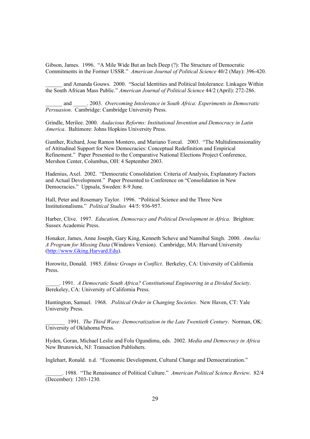Gibson, James. 1996. "A Mile Wide But an Inch Deep (?): The Structure of Democratic Commitments in the Former USSR." *American Journal of Political Science* 40/2 (May): 396-420.

and Amanda Gouws. 2000. "Social Identities and Political Intolerance: Linkages Within the South African Mass Public." *American Journal of Political Science* 44/2 (April): 272-286.

\_\_\_\_\_\_ and \_\_\_\_\_. 2003. *Overcoming Intolerance in South Africa: Experiments in Democratic Persuasion*. Cambridge: Cambridge University Press.

Grindle, Merilee. 2000. *Audacious Reforms: Institutional Invention and Democracy in Latin America*. Baltimore: Johns Hopkins University Press.

Gunther, Richard, Jose Ramon Montero, and Mariano Torcal. 2003. "The Multidimensionality of Attitudinal Support for New Democracies: Conceptual Redefinition and Empirical Refinement." Paper Presented to the Comparative National Elections Project Conference, Mershon Center, Columbus, OH: 4 September 2003.

Hadenius, Axel. 2002. "Democratic Consolidation: Criteria of Analysis, Explanatory Factors and Actual Development." Paper Presented to Conference on "Consolidation in New Democracies." Uppsala, Sweden: 8-9 June.

Hall, Peter and Rosemary Taylor. 1996. "Political Science and the Three New Institutionalisms." *Political Studies* 44/5: 936-957.

Harber, Clive. 1997. *Education, Democracy and Political Development in Africa.* Brighton: Sussex Academic Press.

Honaker, James, Anne Joseph, Gary King, Kenneth Scheve and Nannibal Singh. 2000. *Amelia: A Program for Missing Data* (Windows Version). Cambridge, MA: Harvard University (http://www.Gking.Harvard.Edu).

Horowitz, Donald. 1985. *Ethnic Groups in Conflict*. Berkeley, CA: University of California Press.

\_\_\_\_\_. 1991. *A Democratic South Africa? Constitutional Engineering in a Divided Society*. Berekeley, CA: University of California Press.

Huntington, Samuel. 1968. *Political Order in Changing Societies*. New Haven, CT: Yale University Press.

\_\_\_\_\_\_\_ 1991. *The Third Wave: Democratization in the Late Twentieth Century*. Norman, OK: University of Oklahoma Press.

Hyden, Goran, Michael Leslie and Folu Ogundimu, eds. 2002. *Media and Democracy in Africa* New Brunswick, NJ: Transaction Publishers.

Inglehart, Ronald. n.d. "Economic Development, Cultural Change and Democratization."

\_\_\_\_\_\_. 1988. "The Renaissance of Political Culture." *American Political Science Review*. 82/4 (December): 1203-1230.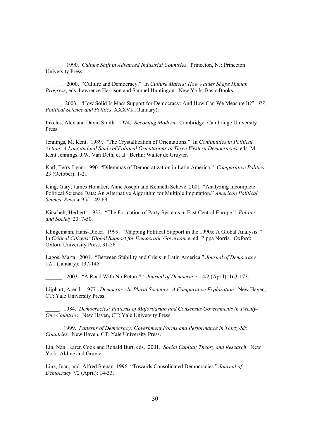\_\_\_\_\_\_. 1990. *Culture Shift in Advanced Industrial Countries*. Princeton, NJ: Princeton University Press.

\_\_\_\_\_\_. 2000. "Culture and Democracy." In *Culture Maters: How Values Shape Human Progress*, eds. Lawrence Harrison and Samuel Huntingon. New York: Basic Books.

\_\_\_\_\_\_. 2003. "How Solid Is Mass Support for Democracy: And How Can We Measure It?" *PS: Political Science and Politics* XXXVI/1(January).

Inkeles, Alex and David Smith. 1974. *Becoming Modern*. Cambridge: Cambridge University Press.

Jennings, M. Kent. 1989. "The Crystallization of Orientations." In *Continuities in Political Action: A Longitudinal Study of Political Orientations in Three Western Democracies*, eds. M. Kent Jennings, J.W. Van Deth, et al. Berlin: Walter de Gruyter.

Karl, Terry Lynn. 1990. "Dilemmas of Democratization in Latin America." *Comparative Politics* 23 (October): 1-21.

King, Gary, James Honaker, Anne Joseph and Kenneth Scheve. 2001. "Analyzing Incomplete Political Science Data: An Alternative Algorithm for Multiple Imputation." *American Political Science Review* 95/1: 49-69.

Kitschelt, Herbert. 1932. "The Formation of Party Systems in East Central Europe." *Politics and Society* 20: 7-50.

Klingemann, Hans-Dieter. 1999. "Mapping Political Support in the 1990s: A Global Analysis.*"* In *Critical Citizens: Global Support for Democratic Governance*, ed. Pippa Norris. Oxford: Oxford University Press, 31-56.

Lagos, Marta. 2001. "Between Stability and Crisis in Latin America." *Journal of Democracy* 12/1 (January): 137-145.

\_\_\_\_\_\_. 2003. "A Road With No Return?" *Journal of Democracy* 14/2 (April): 163-173.

Lijphart, Arend. 1977. *Democracy In Plural Societies: A Comparative Exploration*. New Haven, CT: Yale University Press.

\_\_\_\_\_. 1984. *Democracies: Patterns of Majoritarian and Consensus Governments in Twenty-One Countries*. New Haven, CT: Yale University Press.

\_\_\_\_\_. 1999. *Patterns of Democracy: Government Forms and Performance in Thirty-Six Countries*. New Haven, CT: Yale University Press.

Lin, Nan, Karen Cook and Ronald Burt, eds. 2001. *Social Capital: Theory and Research*. New York, Aldine and Gruyter.

Linz, Juan, and Alfred Stepan. 1996. "Towards Consolidated Democracies." *Journal of Democracy* 7/2 (April): 14-33.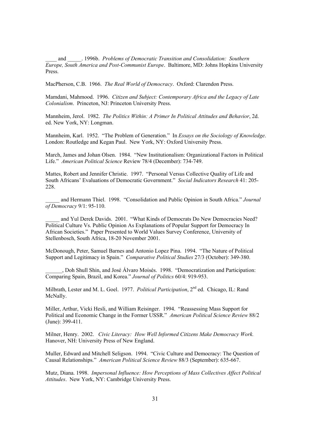\_\_\_\_ and \_\_\_\_\_. 1996b. *Problems of Democratic Transition and Consolidation: Southern Europe, South America and Post-Communist Europe*. Baltimore, MD: Johns Hopkins University Press.

MacPherson, C.B. 1966. *The Real World of Democracy*. Oxford: Clarendon Press.

Mamdani, Mahmood. 1996. *Citizen and Subject: Contemporary Africa and the Legacy of Late Colonialism*. Princeton, NJ: Princeton University Press.

Mannheim, Jerol. 1982. *The Politics Within: A Primer In Political Attitudes and Behavior*, 2d. ed. New York, NY: Longman.

Mannheim, Karl. 1952. "The Problem of Generation." In *Essays on the Sociology of Knowledge*. London: Routledge and Kegan Paul. New York, NY: Oxford University Press.

March, James and Johan Olsen. 1984. "New Institutionalism: Organizational Factors in Political Life." *American Political Science* Review 78/4 (December): 734-749.

Mattes, Robert and Jennifer Christie. 1997. "Personal Versus Collective Quality of Life and South Africans' Evaluations of Democratic Government." *Social Indicators Research* 41: 205- 228.

\_\_\_\_\_ and Hermann Thiel. 1998. "Consolidation and Public Opinion in South Africa." *Journal of Democracy* 9/1: 95-110.

and Yul Derek Davids. 2001. "What Kinds of Democrats Do New Democracies Need? Political Culture Vs. Public Opinion As Explanations of Popular Support for Democracy In African Societies." Paper Presented to World Values Survey Conference, University of Stellenbosch, South Africa, 18-20 November 2001.

McDonough, Peter, Samuel Barnes and Antonio Lopez Pina. 1994. "The Nature of Political Support and Legitimacy in Spain." *Comparative Political Studies* 27/3 (October): 349-380.

\_\_\_\_\_\_, Doh Shull Shin, and José Álvaro Moisés. 1998. "Democratization and Participation: Comparing Spain, Brazil, and Korea." *Journal of Politics* 60/4: 919-953.

Milbrath, Lester and M. L. Goel. 1977. *Political Participation*, 2nd ed. Chicago, IL: Rand McNally.

Miller, Arthur, Vicki Hesli, and William Reisinger. 1994. "Reassessing Mass Support for Political and Economic Change in the Former USSR." *American Political Science Review* 88/2 (June): 399-411.

Milner, Henry. 2002. *Civic Literacy: How Well Informed Citizens Make Democracy Work.*  Hanover, NH: University Press of New England.

Muller, Edward and Mitchell Seligson. 1994. "Civic Culture and Democracy: The Question of Causal Relationships." *American Political Science Review* 88/3 (September): 635-667.

Mutz, Diana. 1998. *Impersonal Influence: How Perceptions of Mass Collectives Affect Political Attitudes*. New York, NY: Cambridge University Press.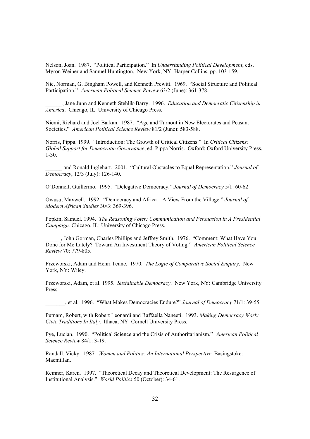Nelson, Joan. 1987. "Political Participation." In *Understanding Political Development*, eds. Myron Weiner and Samuel Huntington. New York, NY: Harper Collins, pp. 103-159.

Nie, Norman, G. Bingham Powell, and Kenneth Prewitt. 1969. "Social Structure and Political Participation." *American Political Science Review* 63/2 (June): 361-378.

\_\_\_\_\_\_, Jane Junn and Kenneth Stehlik-Barry. 1996. *Education and Democratic Citizenship in America*. Chicago, IL: University of Chicago Press.

Niemi, Richard and Joel Barkan. 1987. "Age and Turnout in New Electorates and Peasant Societies." *American Political Science Review* 81/2 (June): 583-588.

Norris, Pippa. 1999. "Introduction: The Growth of Critical Citizens." In *Critical Citizens: Global Support for Democratic Governance*, ed. Pippa Norris. Oxford: Oxford University Press, 1-30.

\_\_\_\_\_\_ and Ronald Inglehart. 2001. "Cultural Obstacles to Equal Representation." *Journal of Democracy*, 12/3 (July): 126-140.

O'Donnell, Guillermo. 1995. "Delegative Democracy." *Journal of Democracy* 5/1: 60-62

Owusu, Maxwell. 1992. "Democracy and Africa – A View From the Village." *Journal of Modern African Studies* 30/3: 369-396.

Popkin, Samuel. 1994. *The Reasoning Voter: Communication and Persuasion in A Presidential Campaign.* Chicago, IL: University of Chicago Press.

\_\_\_\_\_ , John Gorman, Charles Phillips and Jeffrey Smith. 1976. "Comment: What Have You Done for Me Lately? Toward An Investment Theory of Voting." *American Political Science Review* 70: 779-805.

Przeworski, Adam and Henri Teune. 1970. *The Logic of Comparative Social Enquiry*. New York, NY: Wiley.

Przeworski, Adam, et al. 1995. *Sustainable Democracy*. New York, NY: Cambridge University Press.

\_\_\_\_\_\_\_, et al. 1996. "What Makes Democracies Endure?" *Journal of Democracy* 71/1: 39-55.

Putnam, Robert, with Robert Leonardi and Raffaella Naneeti. 1993. *Making Democracy Work: Civic Traditions In Italy*. Ithaca, NY: Cornell University Press.

Pye, Lucian. 1990. "Political Science and the Crisis of Authoritarianism." *American Political Science Review* 84/1: 3-19.

Randall, Vicky. 1987. *Women and Politics: An International Perspective*. Basingstoke: Macmillan.

Remner, Karen. 1997. "Theoretical Decay and Theoretical Development: The Resurgence of Institutional Analysis." *World Politics* 50 (October): 34-61.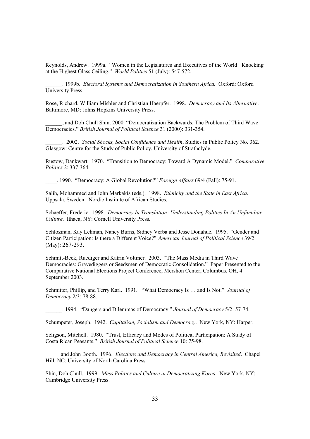Reynolds, Andrew. 1999a. "Women in the Legislatures and Executives of the World: Knocking at the Highest Glass Ceiling." *World Politics* 51 (July): 547-572.

\_\_\_\_\_\_. 1999b. *Electoral Systems and Democratization in Southern Africa.* Oxford: Oxford University Press.

Rose, Richard, William Mishler and Christian Haerpfer. 1998. *Democracy and Its Alternative*. Baltimore, MD: Johns Hopkins University Press.

\_\_\_\_\_\_, and Doh Chull Shin. 2000. "Democratization Backwards: The Problem of Third Wave Democracies." *British Journal of Political Science* 31 (2000): 331-354.

\_\_\_\_\_\_. 2002. *Social Shocks, Social Confidence and Health*, Studies in Public Policy No. 362. Glasgow: Centre for the Study of Public Policy, University of Strathclyde.

Rustow, Dankwart. 1970. "Transition to Democracy: Toward A Dynamic Model." *Comparative Politics* 2: 337-364.

\_\_\_\_. 1990. "Democracy: A Global Revolution?" *Foreign Affairs* 69/4 (Fall): 75-91.

Salih, Mohammed and John Markakis (eds.). 1998. *Ethnicity and the State in East Africa*. Uppsala, Sweden: Nordic Institute of African Studies.

Schaeffer, Frederic. 1998. *Democracy In Translation: Understanding Politics In An Unfamiliar Culture*. Ithaca, NY: Cornell University Press.

Schlozman, Kay Lehman, Nancy Burns, Sidney Verba and Jesse Donahue. 1995. "Gender and Citizen Participation: Is there a Different Voice?" *American Journal of Political Science* 39/2 (May): 267-293.

Schmitt-Beck, Ruediger and Katrin Voltmer. 2003. "The Mass Media in Third Wave Democracies: Gravediggers or Seedsmen of Democratic Consolidation." Paper Presented to the Comparative National Elections Project Conference, Mershon Center, Columbus, OH, 4 September 2003.

Schmitter, Phillip, and Terry Karl. 1991. "What Democracy Is … and Is Not." *Journal of Democracy* 2/3: 78-88.

\_\_\_\_\_\_. 1994. "Dangers and Dilemmas of Democracy." *Journal of Democracy* 5/2: 57-74.

Schumpeter, Joseph. 1942. *Capitalism, Socialism and Democracy*. New York, NY: Harper.

Seligson, Mitchell. 1980. "Trust, Efficacy and Modes of Political Participation: A Study of Costa Rican Peasants." *British Journal of Political Science* 10: 75-98.

\_\_\_\_\_ and John Booth. 1996. *Elections and Democracy in Central America, Revisited*. Chapel Hill, NC: University of North Carolina Press.

Shin, Doh Chull. 1999. *Mass Politics and Culture in Democratizing Korea*. New York, NY: Cambridge University Press.